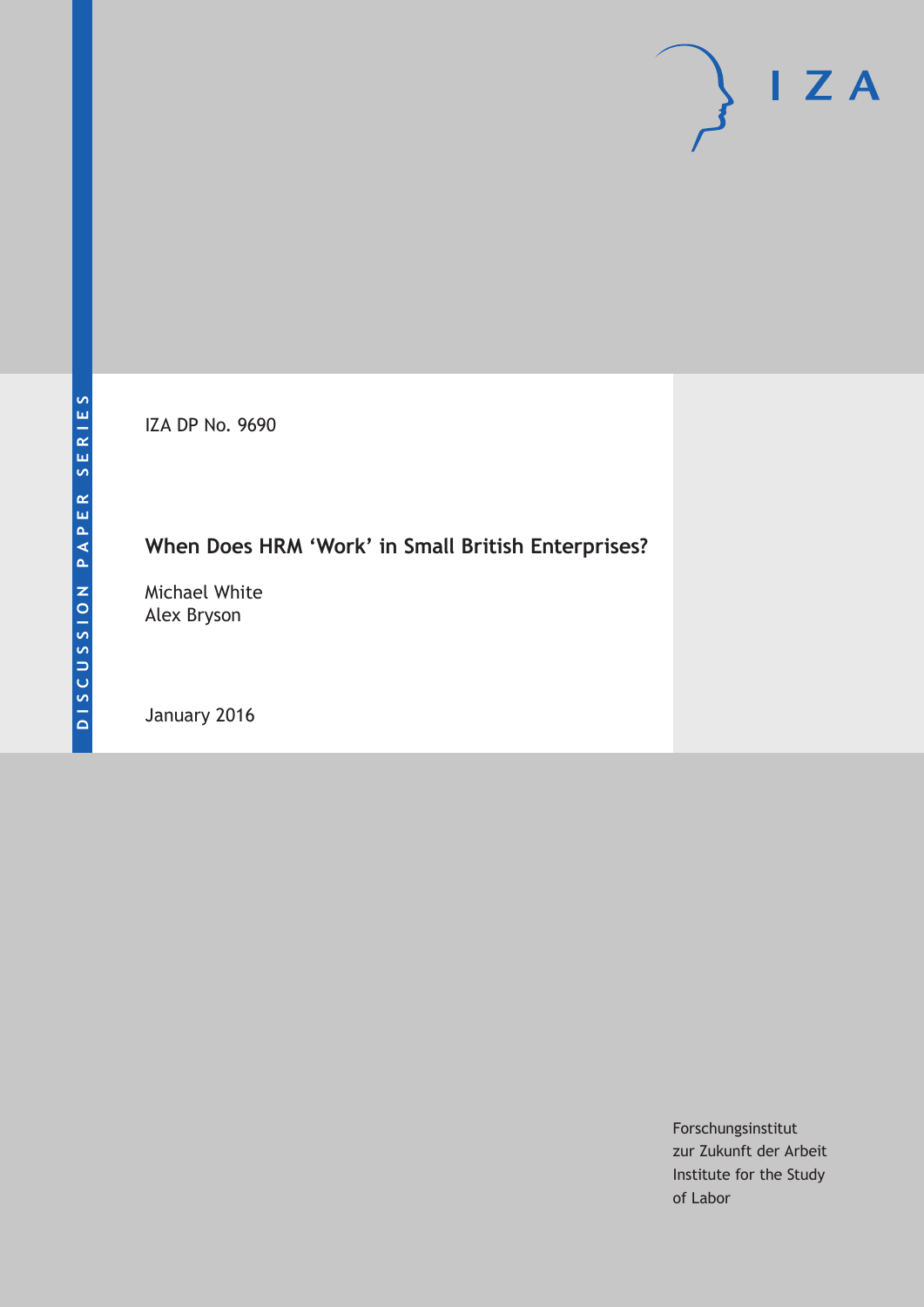IZA DP No. 9690

# **When Does HRM 'Work' in Small British Enterprises?**

Michael White Alex Bryson

January 2016

Forschungsinstitut zur Zukunft der Arbeit Institute for the Study of Labor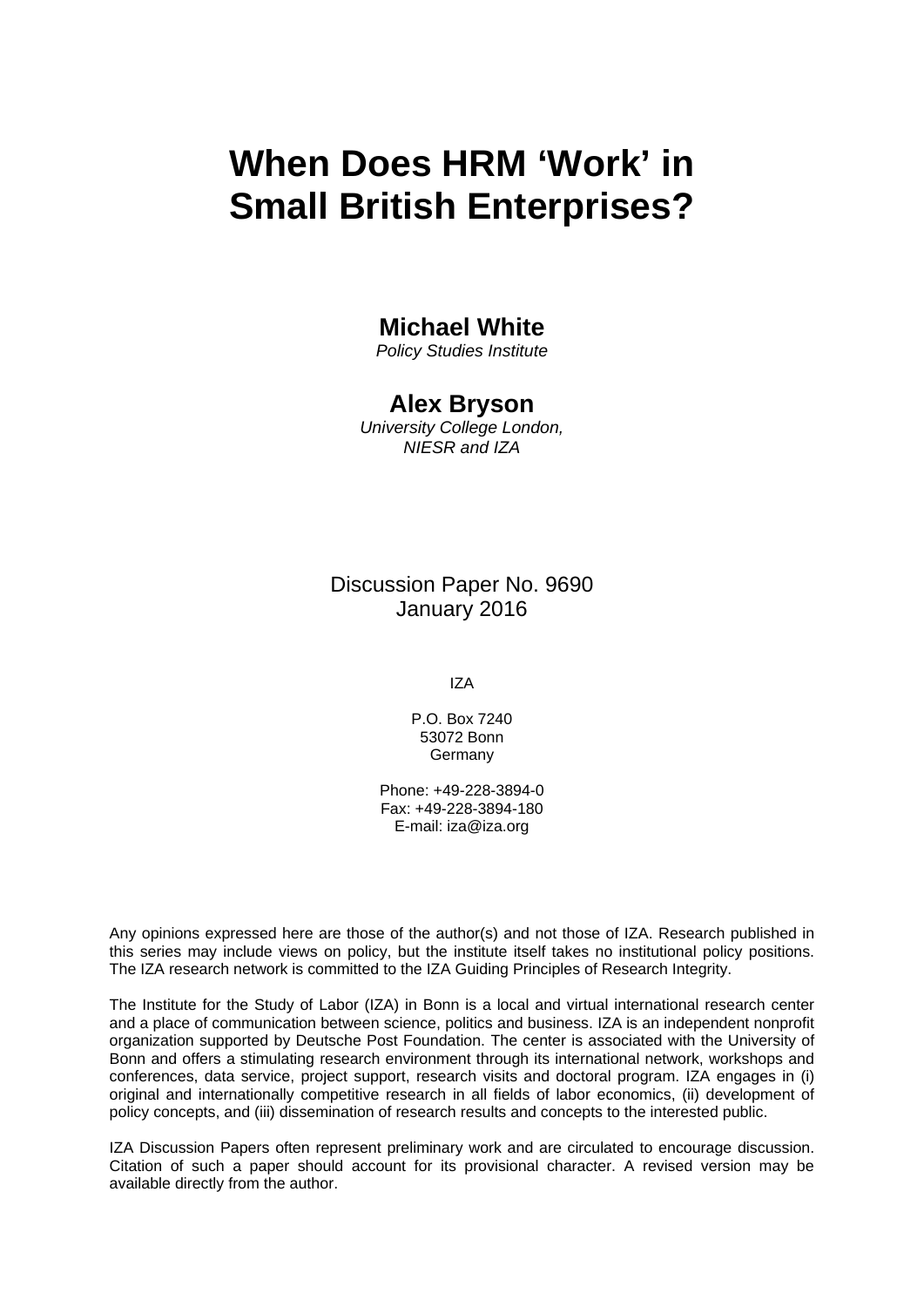# **When Does HRM 'Work' in Small British Enterprises?**

### **Michael White**

*Policy Studies Institute* 

### **Alex Bryson**

*University College London, NIESR and IZA* 

Discussion Paper No. 9690 January 2016

IZA

P.O. Box 7240 53072 Bonn **Germany** 

Phone: +49-228-3894-0 Fax: +49-228-3894-180 E-mail: iza@iza.org

Any opinions expressed here are those of the author(s) and not those of IZA. Research published in this series may include views on policy, but the institute itself takes no institutional policy positions. The IZA research network is committed to the IZA Guiding Principles of Research Integrity.

The Institute for the Study of Labor (IZA) in Bonn is a local and virtual international research center and a place of communication between science, politics and business. IZA is an independent nonprofit organization supported by Deutsche Post Foundation. The center is associated with the University of Bonn and offers a stimulating research environment through its international network, workshops and conferences, data service, project support, research visits and doctoral program. IZA engages in (i) original and internationally competitive research in all fields of labor economics, (ii) development of policy concepts, and (iii) dissemination of research results and concepts to the interested public.

IZA Discussion Papers often represent preliminary work and are circulated to encourage discussion. Citation of such a paper should account for its provisional character. A revised version may be available directly from the author.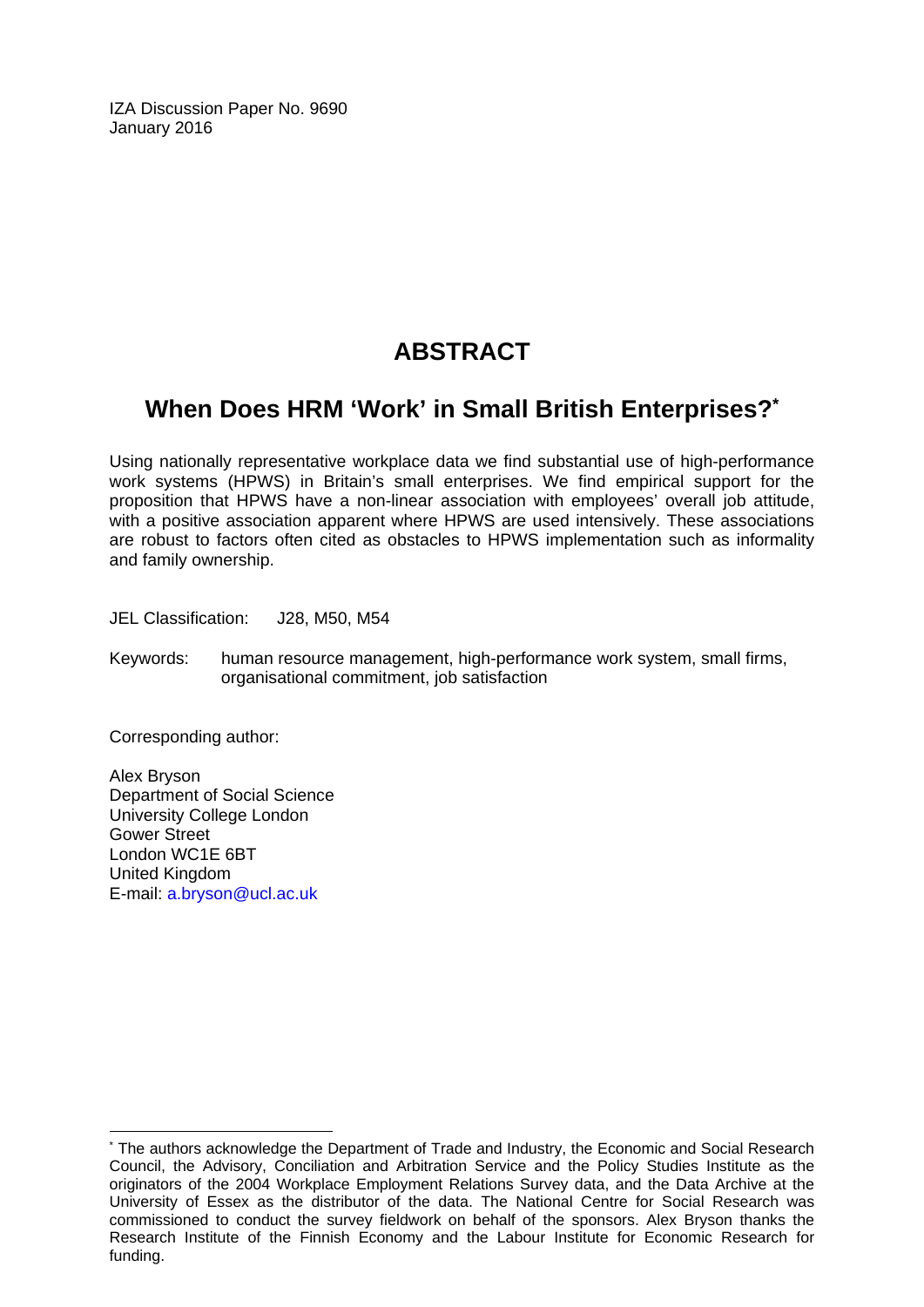IZA Discussion Paper No. 9690 January 2016

# **ABSTRACT**

## **When Does HRM 'Work' in Small British Enterprises?\***

Using nationally representative workplace data we find substantial use of high-performance work systems (HPWS) in Britain's small enterprises. We find empirical support for the proposition that HPWS have a non-linear association with employees' overall job attitude, with a positive association apparent where HPWS are used intensively. These associations are robust to factors often cited as obstacles to HPWS implementation such as informality and family ownership.

JEL Classification: J28, M50, M54

Keywords: human resource management, high-performance work system, small firms, organisational commitment, job satisfaction

Corresponding author:

 $\overline{\phantom{a}}$ 

Alex Bryson Department of Social Science University College London Gower Street London WC1E 6BT United Kingdom E-mail: a.bryson@ucl.ac.uk

<sup>\*</sup> The authors acknowledge the Department of Trade and Industry, the Economic and Social Research Council, the Advisory, Conciliation and Arbitration Service and the Policy Studies Institute as the originators of the 2004 Workplace Employment Relations Survey data, and the Data Archive at the University of Essex as the distributor of the data. The National Centre for Social Research was commissioned to conduct the survey fieldwork on behalf of the sponsors. Alex Bryson thanks the Research Institute of the Finnish Economy and the Labour Institute for Economic Research for funding.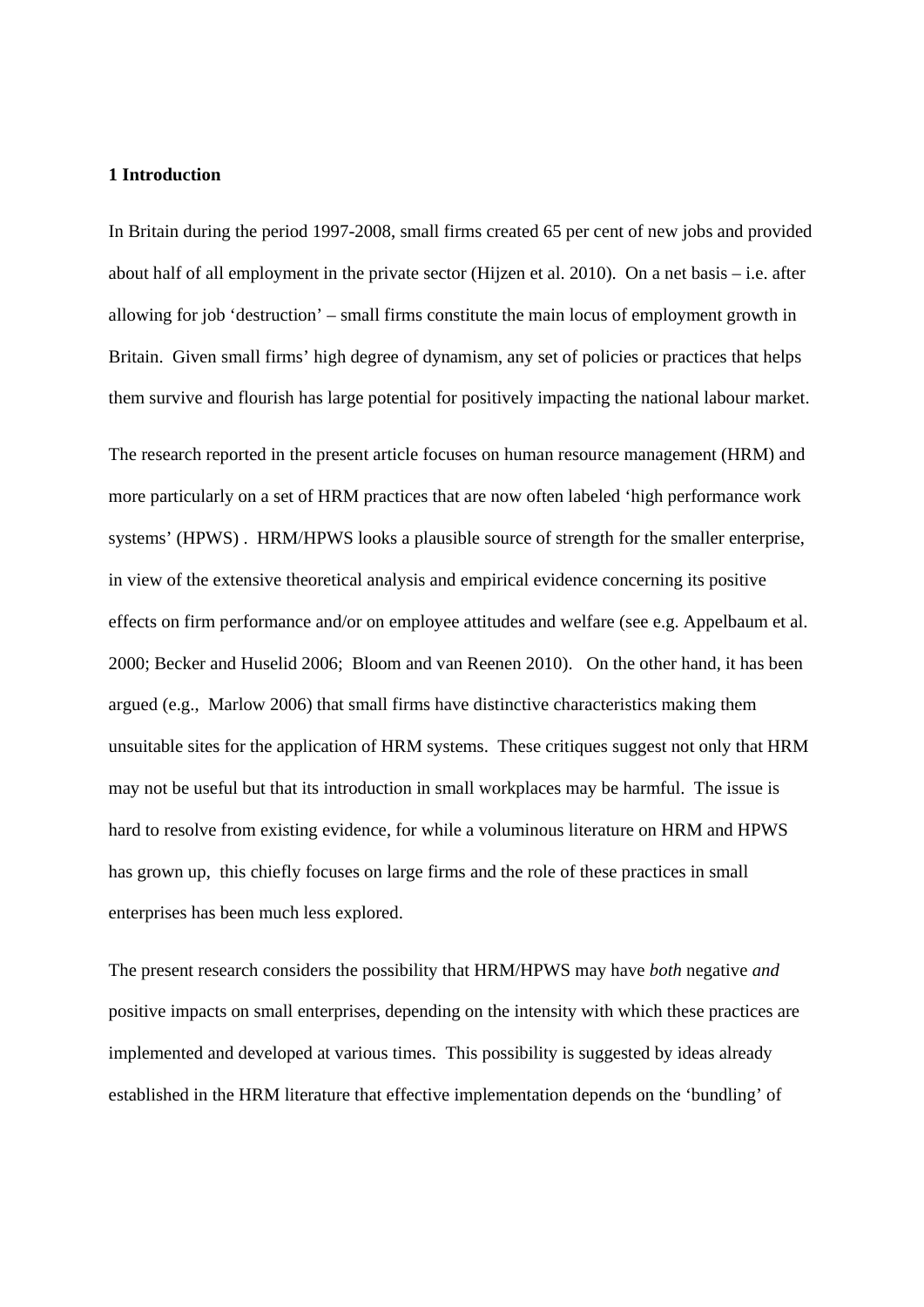#### **1 Introduction**

In Britain during the period 1997-2008, small firms created 65 per cent of new jobs and provided about half of all employment in the private sector (Hijzen et al. 2010). On a net basis – i.e. after allowing for job 'destruction' – small firms constitute the main locus of employment growth in Britain. Given small firms' high degree of dynamism, any set of policies or practices that helps them survive and flourish has large potential for positively impacting the national labour market.

The research reported in the present article focuses on human resource management (HRM) and more particularly on a set of HRM practices that are now often labeled 'high performance work systems' (HPWS) . HRM/HPWS looks a plausible source of strength for the smaller enterprise, in view of the extensive theoretical analysis and empirical evidence concerning its positive effects on firm performance and/or on employee attitudes and welfare (see e.g. Appelbaum et al. 2000; Becker and Huselid 2006; Bloom and van Reenen 2010). On the other hand, it has been argued (e.g., Marlow 2006) that small firms have distinctive characteristics making them unsuitable sites for the application of HRM systems. These critiques suggest not only that HRM may not be useful but that its introduction in small workplaces may be harmful. The issue is hard to resolve from existing evidence, for while a voluminous literature on HRM and HPWS has grown up, this chiefly focuses on large firms and the role of these practices in small enterprises has been much less explored.

The present research considers the possibility that HRM/HPWS may have *both* negative *and* positive impacts on small enterprises, depending on the intensity with which these practices are implemented and developed at various times. This possibility is suggested by ideas already established in the HRM literature that effective implementation depends on the 'bundling' of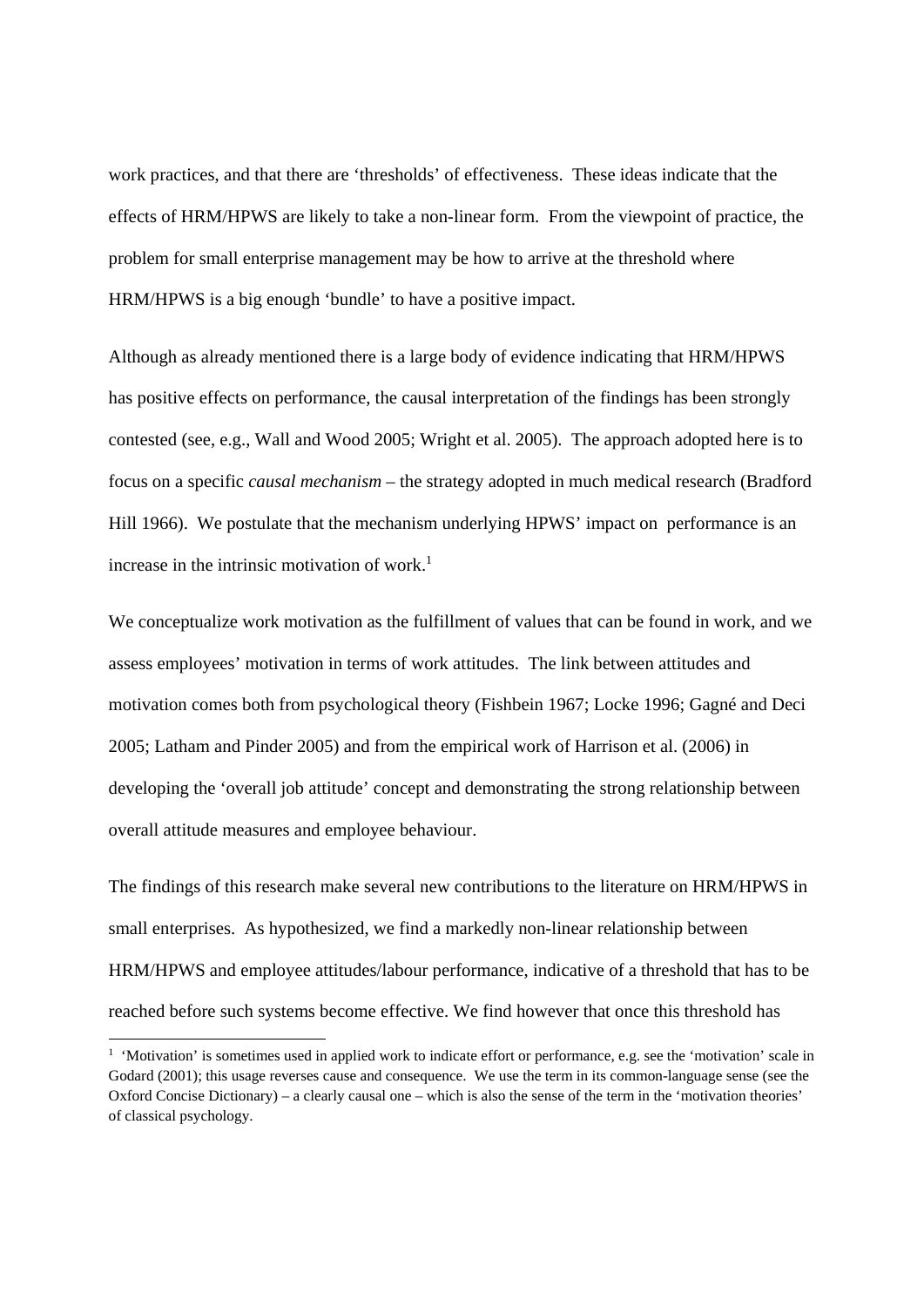work practices, and that there are 'thresholds' of effectiveness. These ideas indicate that the effects of HRM/HPWS are likely to take a non-linear form. From the viewpoint of practice, the problem for small enterprise management may be how to arrive at the threshold where HRM/HPWS is a big enough 'bundle' to have a positive impact.

Although as already mentioned there is a large body of evidence indicating that HRM/HPWS has positive effects on performance, the causal interpretation of the findings has been strongly contested (see, e.g., Wall and Wood 2005; Wright et al. 2005). The approach adopted here is to focus on a specific *causal mechanism* – the strategy adopted in much medical research (Bradford Hill 1966). We postulate that the mechanism underlying HPWS' impact on performance is an increase in the intrinsic motivation of work.<sup>1</sup>

We conceptualize work motivation as the fulfillment of values that can be found in work, and we assess employees' motivation in terms of work attitudes. The link between attitudes and motivation comes both from psychological theory (Fishbein 1967; Locke 1996; Gagné and Deci 2005; Latham and Pinder 2005) and from the empirical work of Harrison et al. (2006) in developing the 'overall job attitude' concept and demonstrating the strong relationship between overall attitude measures and employee behaviour.

The findings of this research make several new contributions to the literature on HRM/HPWS in small enterprises. As hypothesized, we find a markedly non-linear relationship between HRM/HPWS and employee attitudes/labour performance, indicative of a threshold that has to be reached before such systems become effective. We find however that once this threshold has

-

<sup>&</sup>lt;sup>1</sup> 'Motivation' is sometimes used in applied work to indicate effort or performance, e.g. see the 'motivation' scale in Godard (2001); this usage reverses cause and consequence. We use the term in its common-language sense (see the Oxford Concise Dictionary) – a clearly causal one – which is also the sense of the term in the 'motivation theories' of classical psychology.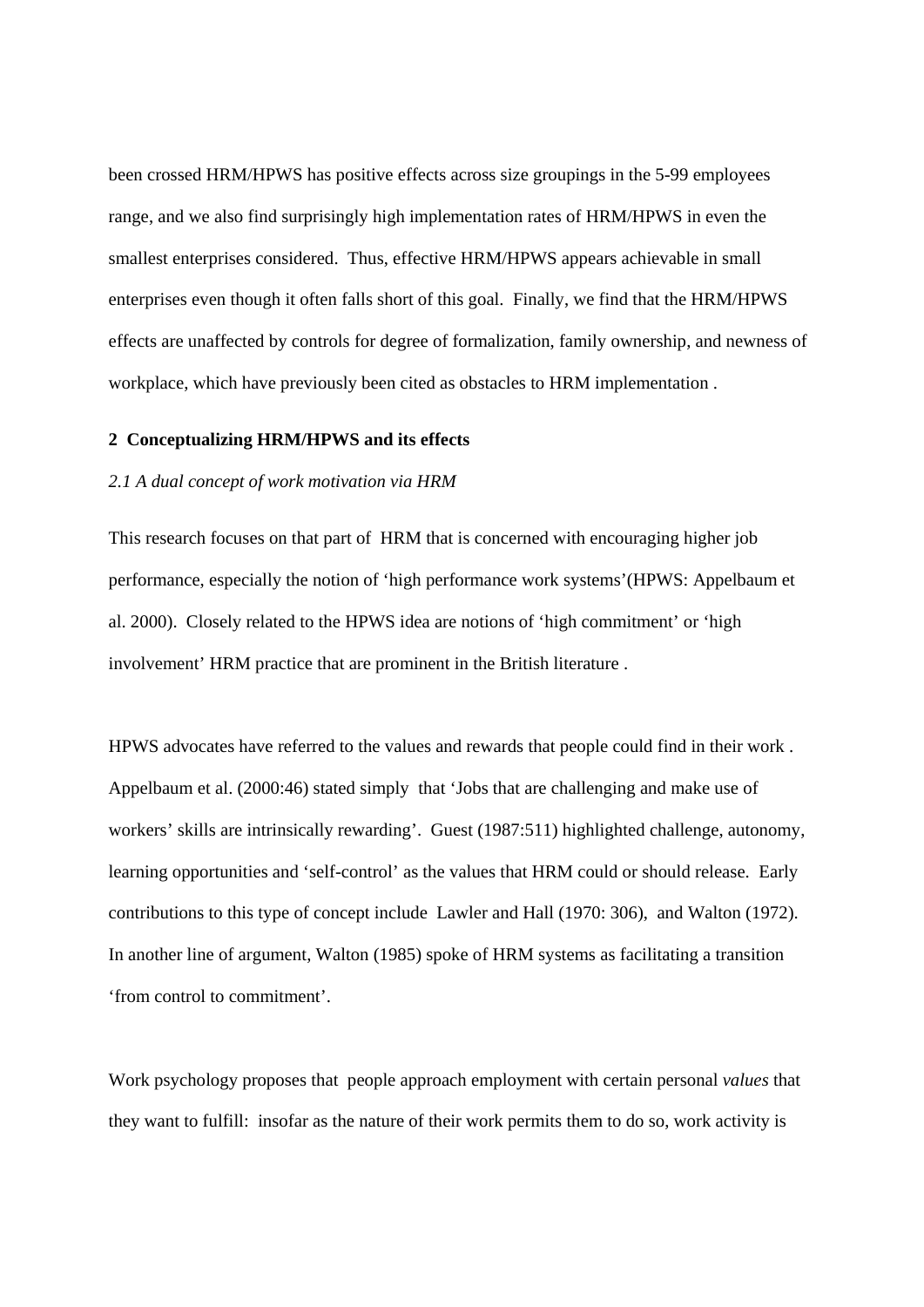been crossed HRM/HPWS has positive effects across size groupings in the 5-99 employees range, and we also find surprisingly high implementation rates of HRM/HPWS in even the smallest enterprises considered. Thus, effective HRM/HPWS appears achievable in small enterprises even though it often falls short of this goal. Finally, we find that the HRM/HPWS effects are unaffected by controls for degree of formalization, family ownership, and newness of workplace, which have previously been cited as obstacles to HRM implementation .

#### **2 Conceptualizing HRM/HPWS and its effects**

#### *2.1 A dual concept of work motivation via HRM*

This research focuses on that part of HRM that is concerned with encouraging higher job performance, especially the notion of 'high performance work systems'(HPWS: Appelbaum et al. 2000). Closely related to the HPWS idea are notions of 'high commitment' or 'high involvement' HRM practice that are prominent in the British literature .

HPWS advocates have referred to the values and rewards that people could find in their work . Appelbaum et al. (2000:46) stated simply that 'Jobs that are challenging and make use of workers' skills are intrinsically rewarding'. Guest (1987:511) highlighted challenge, autonomy, learning opportunities and 'self-control' as the values that HRM could or should release. Early contributions to this type of concept include Lawler and Hall (1970: 306), and Walton (1972). In another line of argument, Walton (1985) spoke of HRM systems as facilitating a transition 'from control to commitment'.

Work psychology proposes that people approach employment with certain personal *values* that they want to fulfill: insofar as the nature of their work permits them to do so, work activity is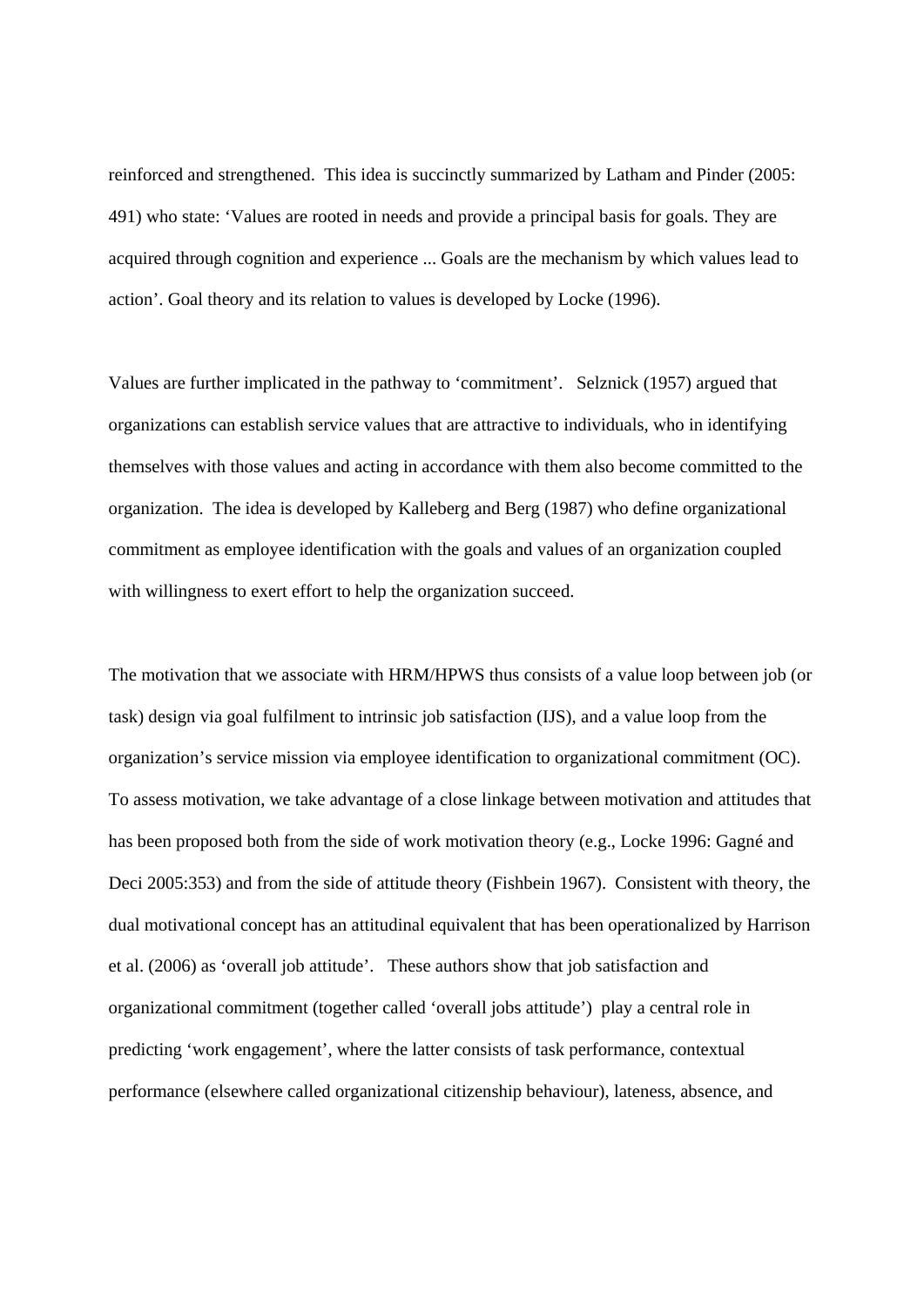reinforced and strengthened. This idea is succinctly summarized by Latham and Pinder (2005: 491) who state: 'Values are rooted in needs and provide a principal basis for goals. They are acquired through cognition and experience ... Goals are the mechanism by which values lead to action'. Goal theory and its relation to values is developed by Locke (1996).

Values are further implicated in the pathway to 'commitment'. Selznick (1957) argued that organizations can establish service values that are attractive to individuals, who in identifying themselves with those values and acting in accordance with them also become committed to the organization. The idea is developed by Kalleberg and Berg (1987) who define organizational commitment as employee identification with the goals and values of an organization coupled with willingness to exert effort to help the organization succeed.

The motivation that we associate with HRM/HPWS thus consists of a value loop between job (or task) design via goal fulfilment to intrinsic job satisfaction (IJS), and a value loop from the organization's service mission via employee identification to organizational commitment (OC). To assess motivation, we take advantage of a close linkage between motivation and attitudes that has been proposed both from the side of work motivation theory (e.g., Locke 1996: Gagné and Deci 2005:353) and from the side of attitude theory (Fishbein 1967). Consistent with theory, the dual motivational concept has an attitudinal equivalent that has been operationalized by Harrison et al. (2006) as 'overall job attitude'. These authors show that job satisfaction and organizational commitment (together called 'overall jobs attitude') play a central role in predicting 'work engagement', where the latter consists of task performance, contextual performance (elsewhere called organizational citizenship behaviour), lateness, absence, and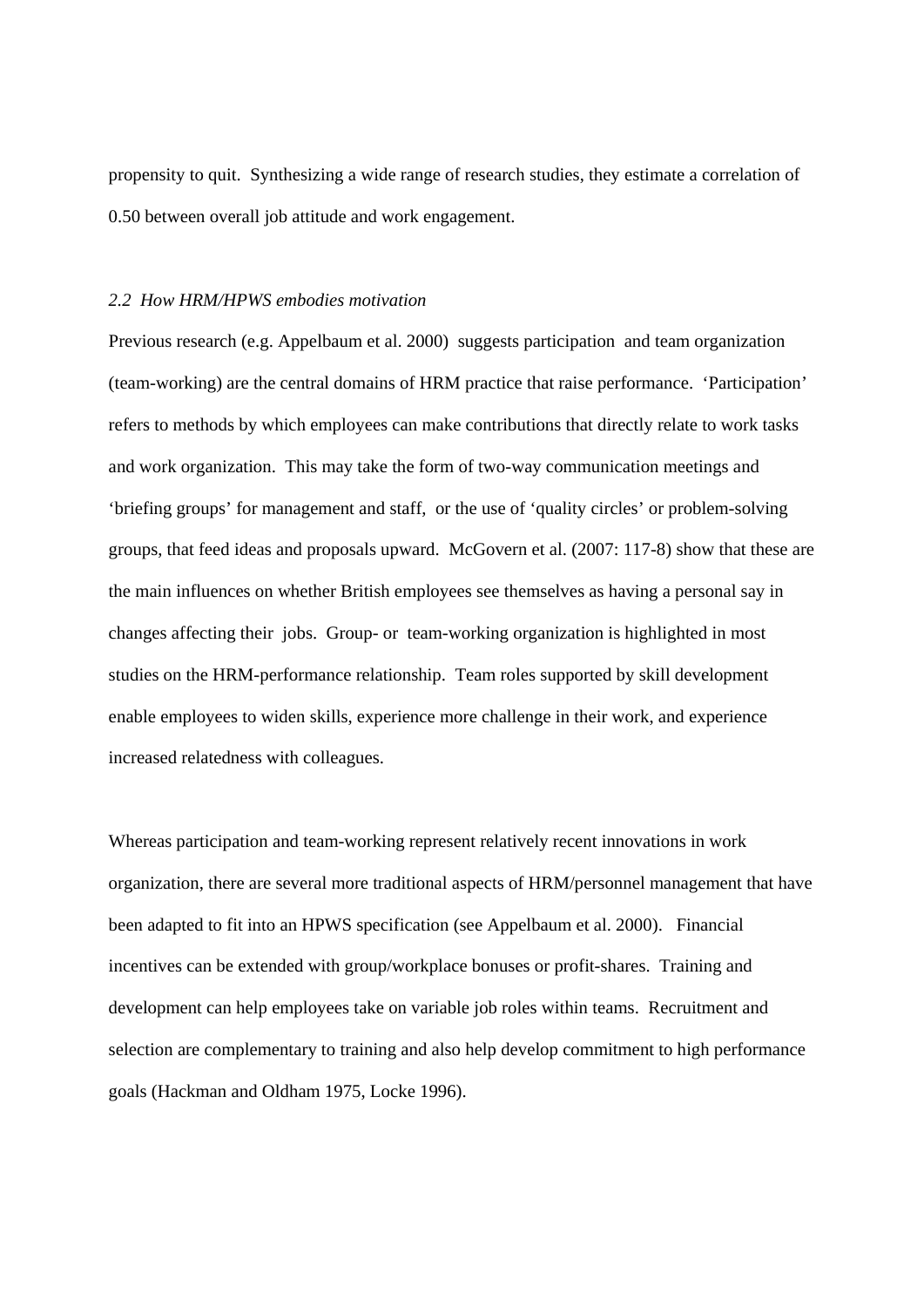propensity to quit. Synthesizing a wide range of research studies, they estimate a correlation of 0.50 between overall job attitude and work engagement.

#### *2.2 How HRM/HPWS embodies motivation*

Previous research (e.g. Appelbaum et al. 2000) suggests participation and team organization (team-working) are the central domains of HRM practice that raise performance. 'Participation' refers to methods by which employees can make contributions that directly relate to work tasks and work organization. This may take the form of two-way communication meetings and 'briefing groups' for management and staff, or the use of 'quality circles' or problem-solving groups, that feed ideas and proposals upward. McGovern et al. (2007: 117-8) show that these are the main influences on whether British employees see themselves as having a personal say in changes affecting their jobs. Group- or team-working organization is highlighted in most studies on the HRM-performance relationship. Team roles supported by skill development enable employees to widen skills, experience more challenge in their work, and experience increased relatedness with colleagues.

Whereas participation and team-working represent relatively recent innovations in work organization, there are several more traditional aspects of HRM/personnel management that have been adapted to fit into an HPWS specification (see Appelbaum et al. 2000). Financial incentives can be extended with group/workplace bonuses or profit-shares. Training and development can help employees take on variable job roles within teams. Recruitment and selection are complementary to training and also help develop commitment to high performance goals (Hackman and Oldham 1975, Locke 1996).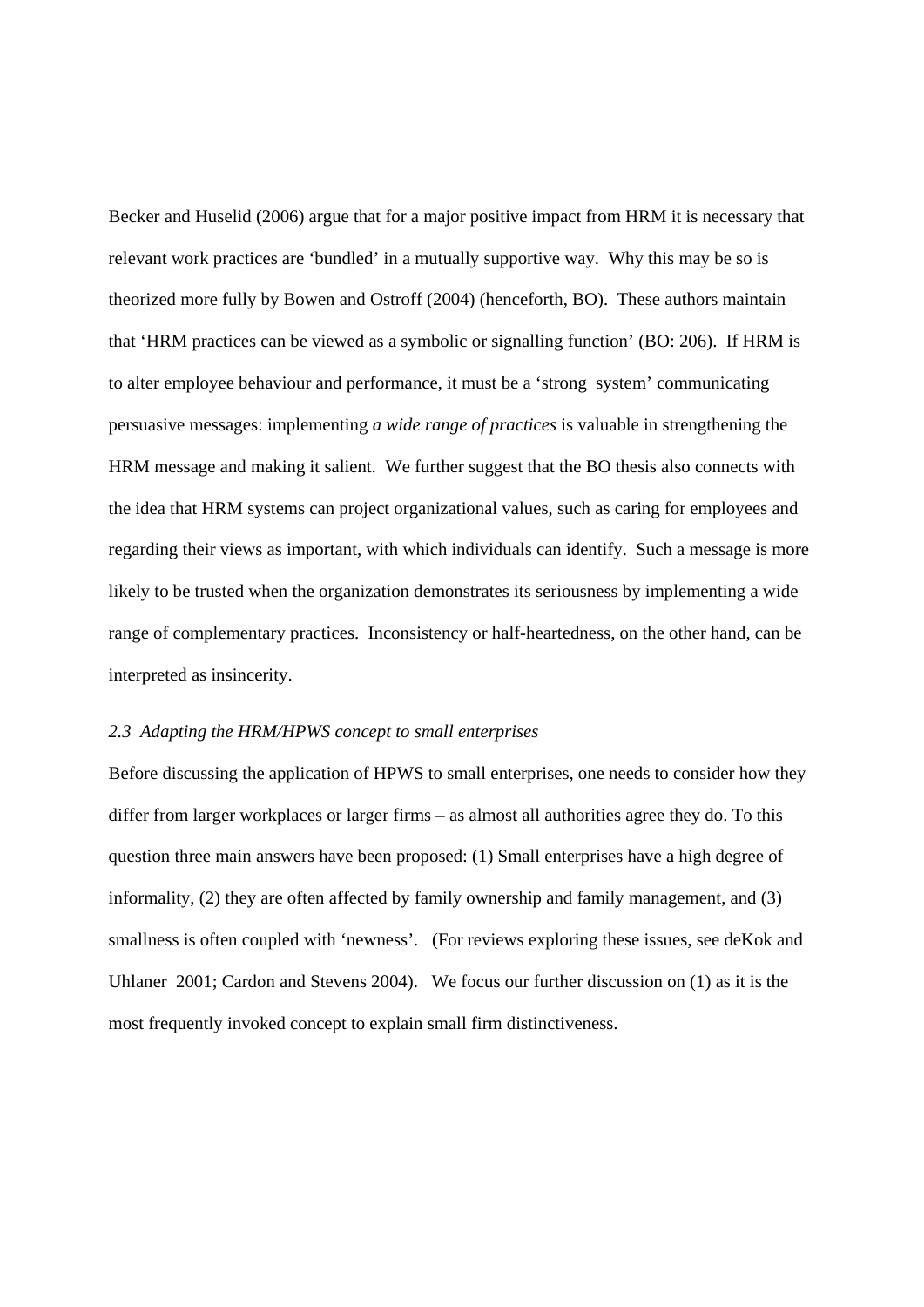Becker and Huselid (2006) argue that for a major positive impact from HRM it is necessary that relevant work practices are 'bundled' in a mutually supportive way. Why this may be so is theorized more fully by Bowen and Ostroff (2004) (henceforth, BO). These authors maintain that 'HRM practices can be viewed as a symbolic or signalling function' (BO: 206). If HRM is to alter employee behaviour and performance, it must be a 'strong system' communicating persuasive messages: implementing *a wide range of practices* is valuable in strengthening the HRM message and making it salient. We further suggest that the BO thesis also connects with the idea that HRM systems can project organizational values, such as caring for employees and regarding their views as important, with which individuals can identify. Such a message is more likely to be trusted when the organization demonstrates its seriousness by implementing a wide range of complementary practices. Inconsistency or half-heartedness, on the other hand, can be interpreted as insincerity.

#### *2.3 Adapting the HRM/HPWS concept to small enterprises*

Before discussing the application of HPWS to small enterprises, one needs to consider how they differ from larger workplaces or larger firms – as almost all authorities agree they do. To this question three main answers have been proposed: (1) Small enterprises have a high degree of informality, (2) they are often affected by family ownership and family management, and (3) smallness is often coupled with 'newness'. (For reviews exploring these issues, see deKok and Uhlaner 2001; Cardon and Stevens 2004). We focus our further discussion on (1) as it is the most frequently invoked concept to explain small firm distinctiveness.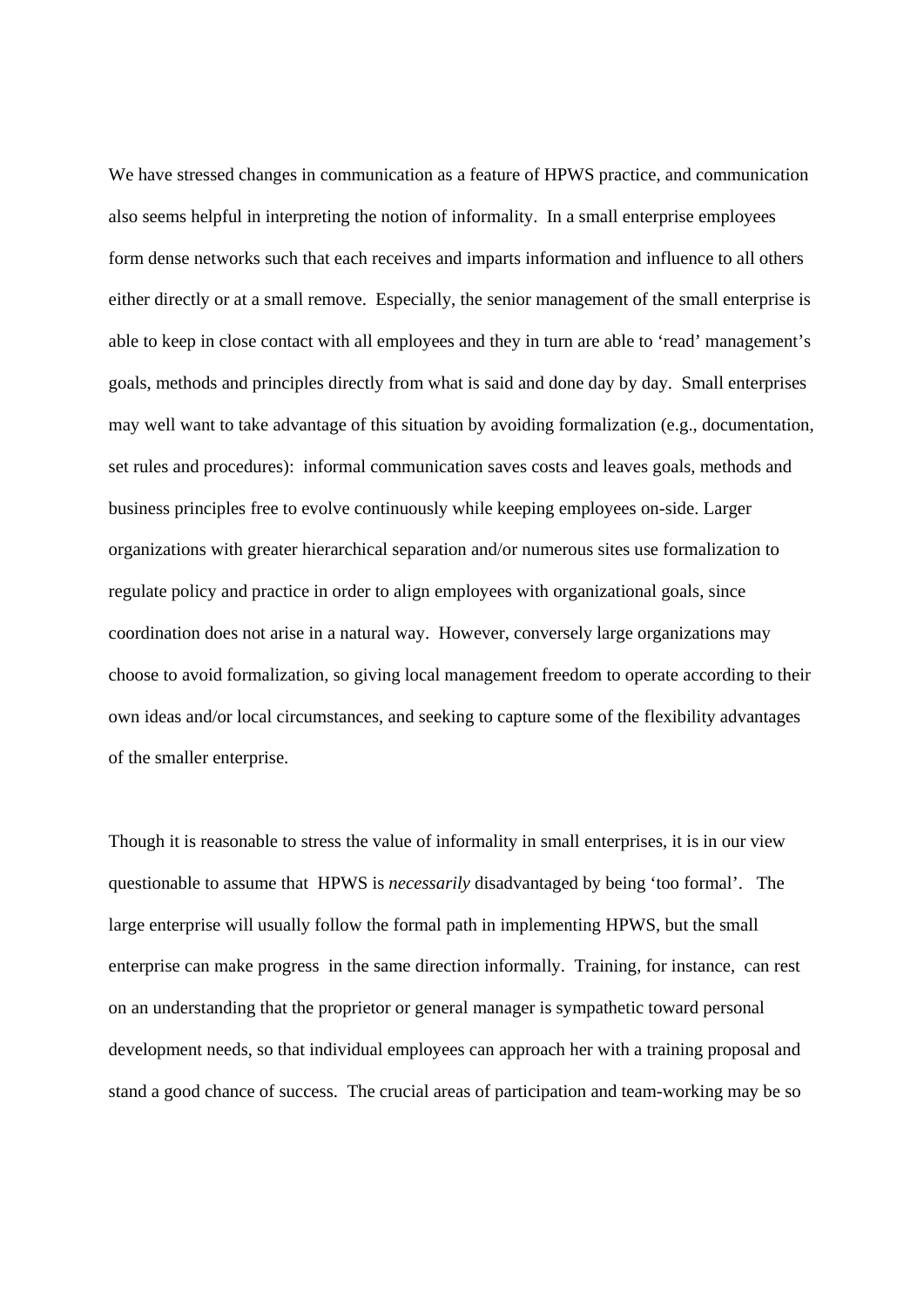We have stressed changes in communication as a feature of HPWS practice, and communication also seems helpful in interpreting the notion of informality. In a small enterprise employees form dense networks such that each receives and imparts information and influence to all others either directly or at a small remove. Especially, the senior management of the small enterprise is able to keep in close contact with all employees and they in turn are able to 'read' management's goals, methods and principles directly from what is said and done day by day. Small enterprises may well want to take advantage of this situation by avoiding formalization (e.g., documentation, set rules and procedures): informal communication saves costs and leaves goals, methods and business principles free to evolve continuously while keeping employees on-side. Larger organizations with greater hierarchical separation and/or numerous sites use formalization to regulate policy and practice in order to align employees with organizational goals, since coordination does not arise in a natural way. However, conversely large organizations may choose to avoid formalization, so giving local management freedom to operate according to their own ideas and/or local circumstances, and seeking to capture some of the flexibility advantages of the smaller enterprise.

Though it is reasonable to stress the value of informality in small enterprises, it is in our view questionable to assume that HPWS is *necessarily* disadvantaged by being 'too formal'. The large enterprise will usually follow the formal path in implementing HPWS, but the small enterprise can make progress in the same direction informally. Training, for instance, can rest on an understanding that the proprietor or general manager is sympathetic toward personal development needs, so that individual employees can approach her with a training proposal and stand a good chance of success. The crucial areas of participation and team-working may be so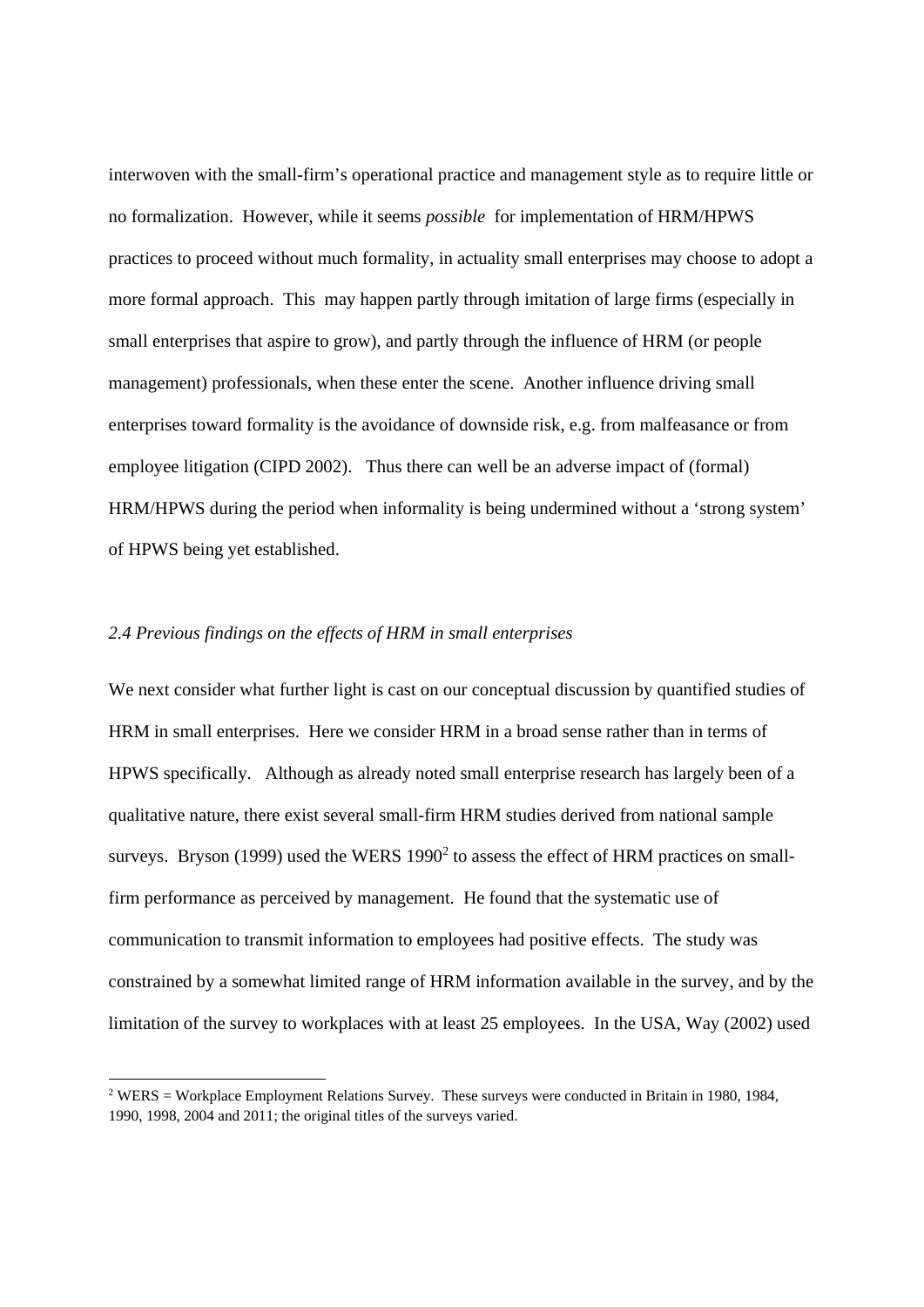interwoven with the small-firm's operational practice and management style as to require little or no formalization. However, while it seems *possible* for implementation of HRM/HPWS practices to proceed without much formality, in actuality small enterprises may choose to adopt a more formal approach. This may happen partly through imitation of large firms (especially in small enterprises that aspire to grow), and partly through the influence of HRM (or people management) professionals, when these enter the scene. Another influence driving small enterprises toward formality is the avoidance of downside risk, e.g. from malfeasance or from employee litigation (CIPD 2002). Thus there can well be an adverse impact of (formal) HRM/HPWS during the period when informality is being undermined without a 'strong system' of HPWS being yet established.

#### *2.4 Previous findings on the effects of HRM in small enterprises*

-

We next consider what further light is cast on our conceptual discussion by quantified studies of HRM in small enterprises. Here we consider HRM in a broad sense rather than in terms of HPWS specifically. Although as already noted small enterprise research has largely been of a qualitative nature, there exist several small-firm HRM studies derived from national sample surveys. Bryson (1999) used the WERS  $1990<sup>2</sup>$  to assess the effect of HRM practices on smallfirm performance as perceived by management. He found that the systematic use of communication to transmit information to employees had positive effects. The study was constrained by a somewhat limited range of HRM information available in the survey, and by the limitation of the survey to workplaces with at least 25 employees. In the USA, Way (2002) used

<sup>&</sup>lt;sup>2</sup> WERS = Workplace Employment Relations Survey. These surveys were conducted in Britain in 1980, 1984, 1990, 1998, 2004 and 2011; the original titles of the surveys varied.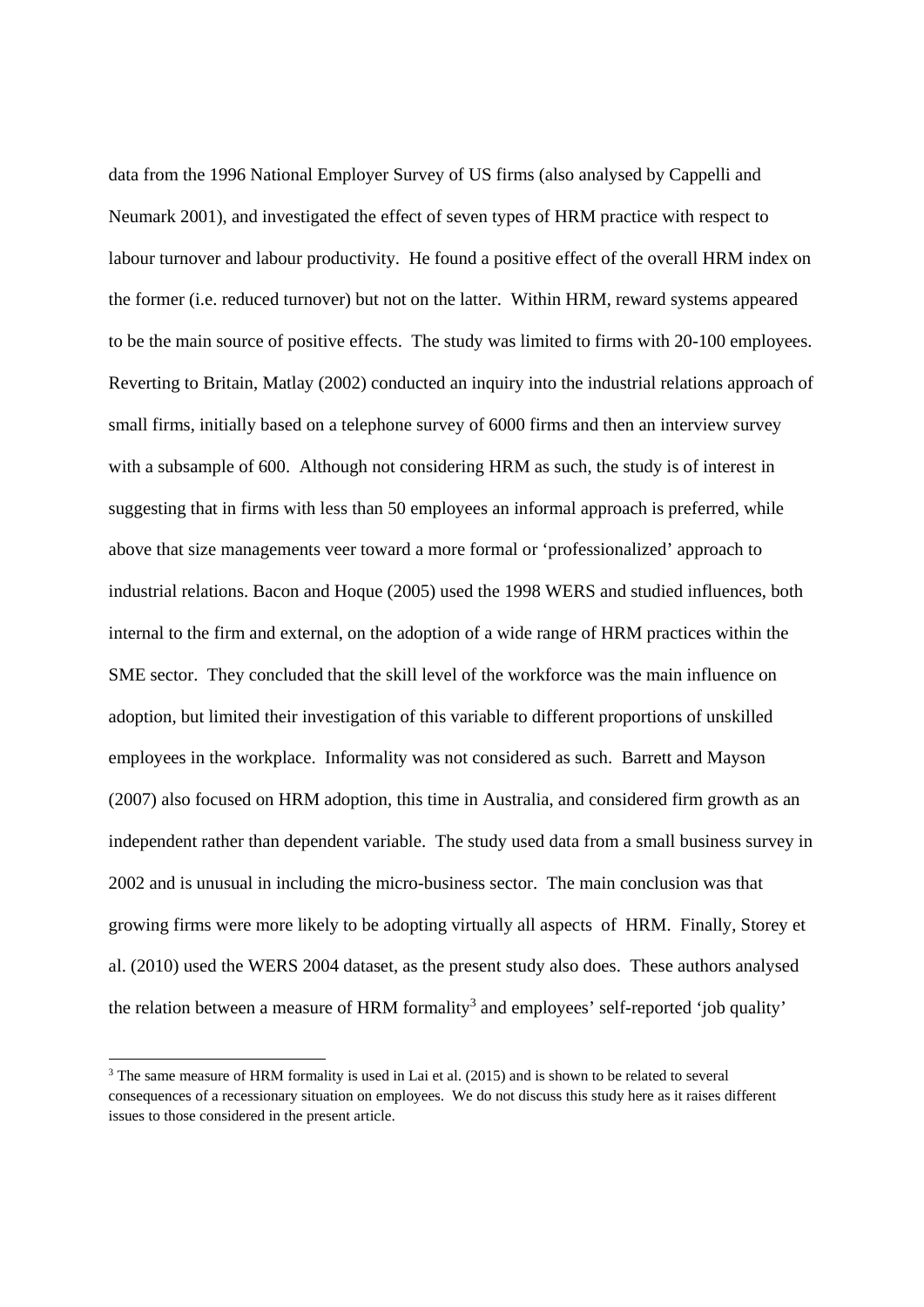data from the 1996 National Employer Survey of US firms (also analysed by Cappelli and Neumark 2001), and investigated the effect of seven types of HRM practice with respect to labour turnover and labour productivity. He found a positive effect of the overall HRM index on the former (i.e. reduced turnover) but not on the latter. Within HRM, reward systems appeared to be the main source of positive effects. The study was limited to firms with 20-100 employees. Reverting to Britain, Matlay (2002) conducted an inquiry into the industrial relations approach of small firms, initially based on a telephone survey of 6000 firms and then an interview survey with a subsample of 600. Although not considering HRM as such, the study is of interest in suggesting that in firms with less than 50 employees an informal approach is preferred, while above that size managements veer toward a more formal or 'professionalized' approach to industrial relations. Bacon and Hoque (2005) used the 1998 WERS and studied influences, both internal to the firm and external, on the adoption of a wide range of HRM practices within the SME sector. They concluded that the skill level of the workforce was the main influence on adoption, but limited their investigation of this variable to different proportions of unskilled employees in the workplace. Informality was not considered as such. Barrett and Mayson (2007) also focused on HRM adoption, this time in Australia, and considered firm growth as an independent rather than dependent variable. The study used data from a small business survey in 2002 and is unusual in including the micro-business sector. The main conclusion was that growing firms were more likely to be adopting virtually all aspects of HRM. Finally, Storey et al. (2010) used the WERS 2004 dataset, as the present study also does. These authors analysed the relation between a measure of HRM formality<sup>3</sup> and employees' self-reported 'job quality'

1

<sup>&</sup>lt;sup>3</sup> The same measure of HRM formality is used in Lai et al. (2015) and is shown to be related to several consequences of a recessionary situation on employees. We do not discuss this study here as it raises different issues to those considered in the present article.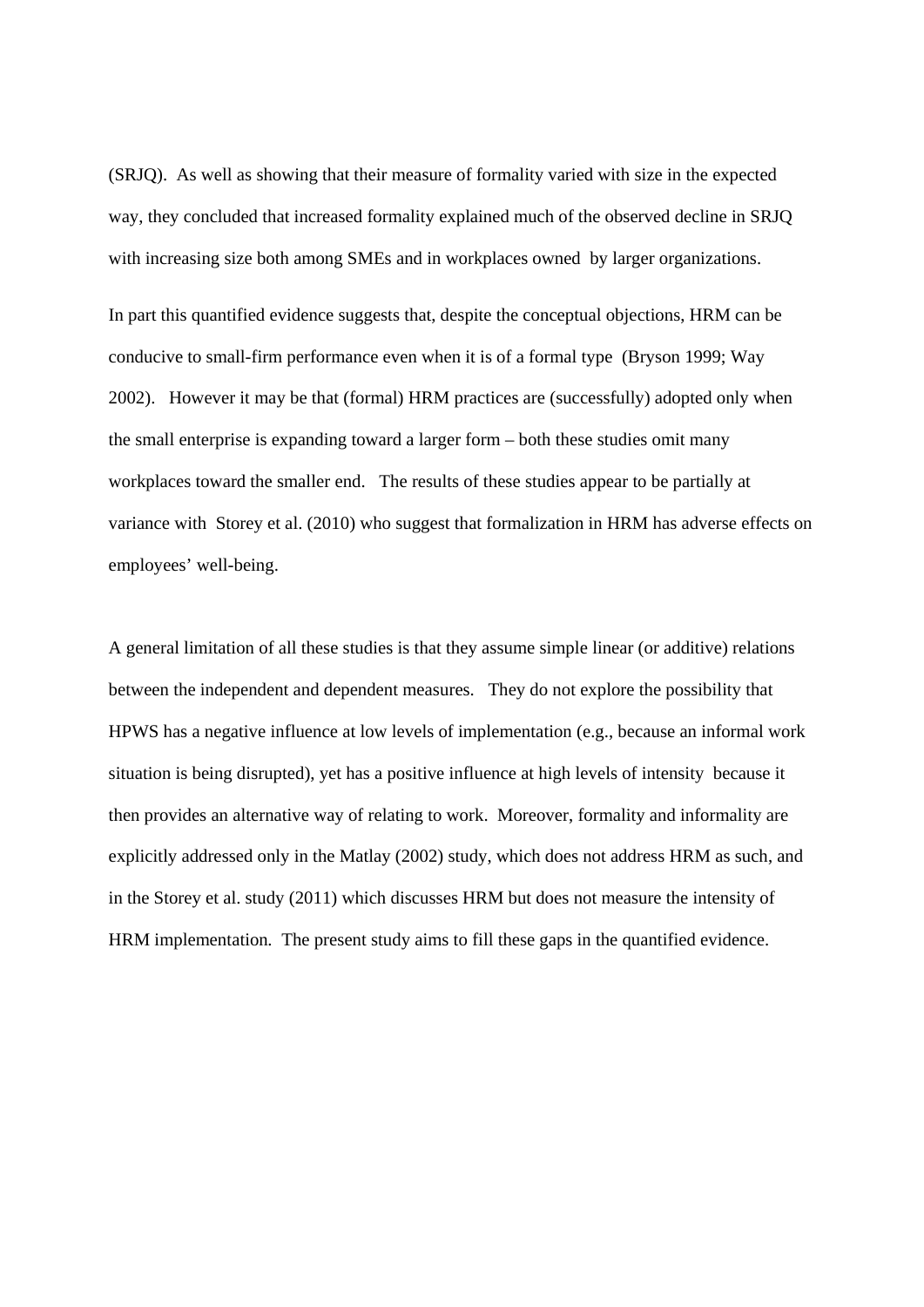(SRJQ). As well as showing that their measure of formality varied with size in the expected way, they concluded that increased formality explained much of the observed decline in SRJQ with increasing size both among SMEs and in workplaces owned by larger organizations.

In part this quantified evidence suggests that, despite the conceptual objections, HRM can be conducive to small-firm performance even when it is of a formal type (Bryson 1999; Way 2002). However it may be that (formal) HRM practices are (successfully) adopted only when the small enterprise is expanding toward a larger form – both these studies omit many workplaces toward the smaller end. The results of these studies appear to be partially at variance with Storey et al. (2010) who suggest that formalization in HRM has adverse effects on employees' well-being.

A general limitation of all these studies is that they assume simple linear (or additive) relations between the independent and dependent measures. They do not explore the possibility that HPWS has a negative influence at low levels of implementation (e.g., because an informal work situation is being disrupted), yet has a positive influence at high levels of intensity because it then provides an alternative way of relating to work. Moreover, formality and informality are explicitly addressed only in the Matlay (2002) study, which does not address HRM as such, and in the Storey et al. study (2011) which discusses HRM but does not measure the intensity of HRM implementation*.* The present study aims to fill these gaps in the quantified evidence.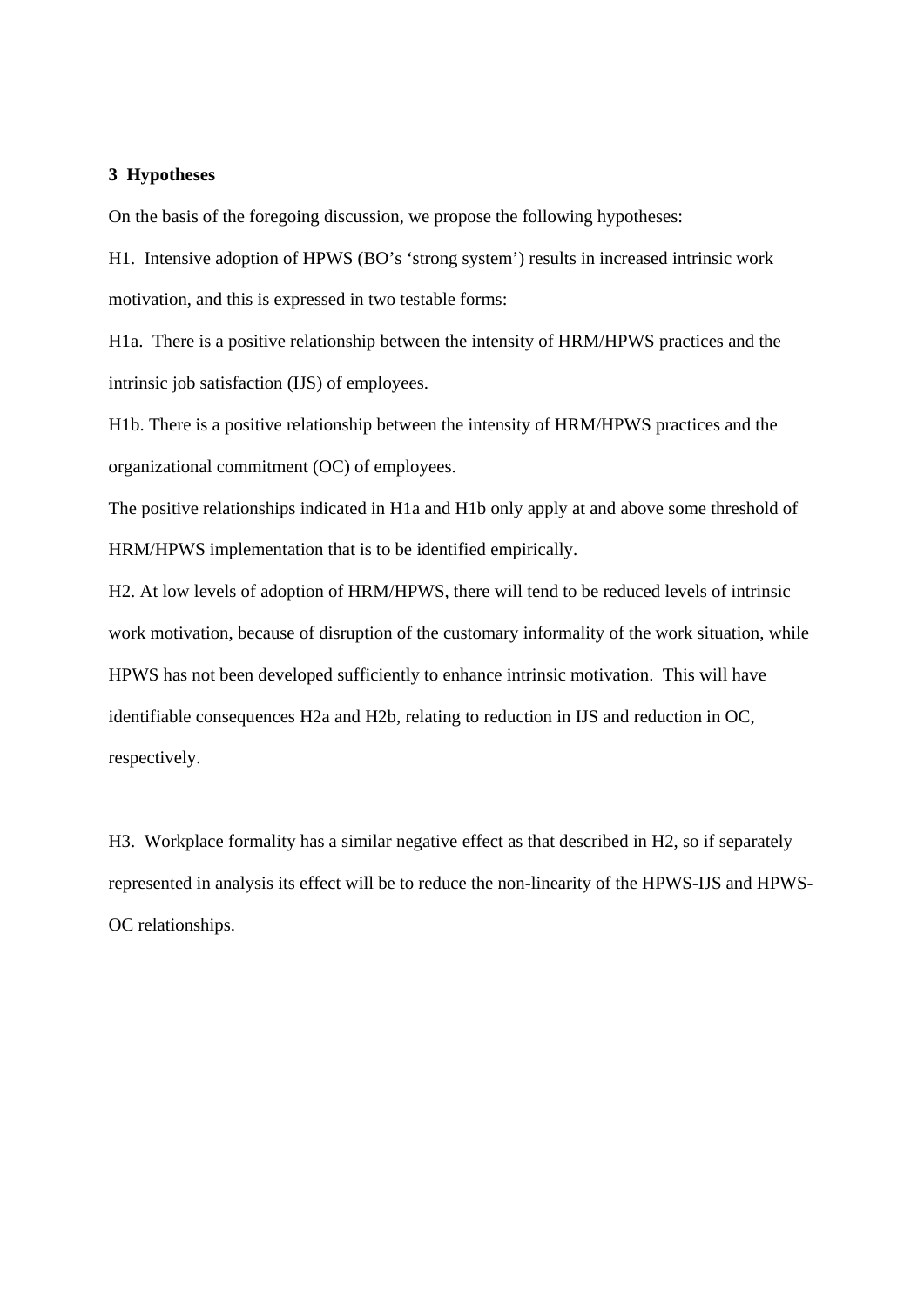#### **3 Hypotheses**

On the basis of the foregoing discussion, we propose the following hypotheses:

H1. Intensive adoption of HPWS (BO's 'strong system') results in increased intrinsic work motivation, and this is expressed in two testable forms:

H1a. There is a positive relationship between the intensity of HRM/HPWS practices and the intrinsic job satisfaction (IJS) of employees.

H1b. There is a positive relationship between the intensity of HRM/HPWS practices and the organizational commitment (OC) of employees.

The positive relationships indicated in H1a and H1b only apply at and above some threshold of HRM/HPWS implementation that is to be identified empirically.

H2. At low levels of adoption of HRM/HPWS, there will tend to be reduced levels of intrinsic work motivation, because of disruption of the customary informality of the work situation, while HPWS has not been developed sufficiently to enhance intrinsic motivation. This will have identifiable consequences H2a and H2b, relating to reduction in IJS and reduction in OC, respectively.

H3. Workplace formality has a similar negative effect as that described in H2, so if separately represented in analysis its effect will be to reduce the non-linearity of the HPWS-IJS and HPWS-OC relationships.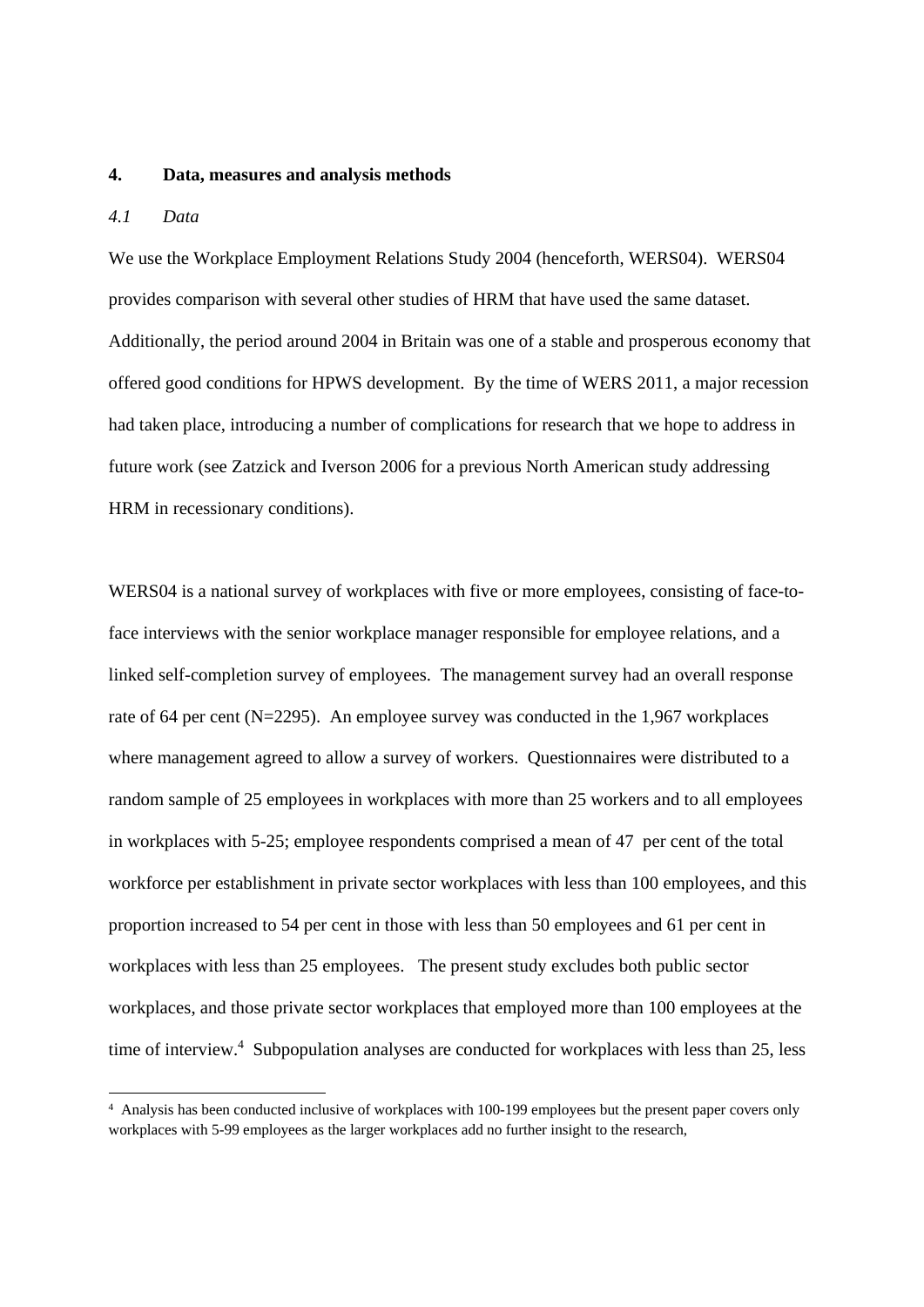#### **4. Data, measures and analysis methods**

#### *4.1 Data*

-

We use the Workplace Employment Relations Study 2004 (henceforth, WERS04). WERS04 provides comparison with several other studies of HRM that have used the same dataset. Additionally, the period around 2004 in Britain was one of a stable and prosperous economy that offered good conditions for HPWS development. By the time of WERS 2011, a major recession had taken place, introducing a number of complications for research that we hope to address in future work (see Zatzick and Iverson 2006 for a previous North American study addressing HRM in recessionary conditions).

WERS04 is a national survey of workplaces with five or more employees, consisting of face-toface interviews with the senior workplace manager responsible for employee relations, and a linked self-completion survey of employees. The management survey had an overall response rate of 64 per cent (N=2295). An employee survey was conducted in the 1,967 workplaces where management agreed to allow a survey of workers. Questionnaires were distributed to a random sample of 25 employees in workplaces with more than 25 workers and to all employees in workplaces with 5-25; employee respondents comprised a mean of 47 per cent of the total workforce per establishment in private sector workplaces with less than 100 employees, and this proportion increased to 54 per cent in those with less than 50 employees and 61 per cent in workplaces with less than 25 employees. The present study excludes both public sector workplaces, and those private sector workplaces that employed more than 100 employees at the time of interview.<sup>4</sup> Subpopulation analyses are conducted for workplaces with less than 25, less

<sup>4</sup> Analysis has been conducted inclusive of workplaces with 100-199 employees but the present paper covers only workplaces with 5-99 employees as the larger workplaces add no further insight to the research,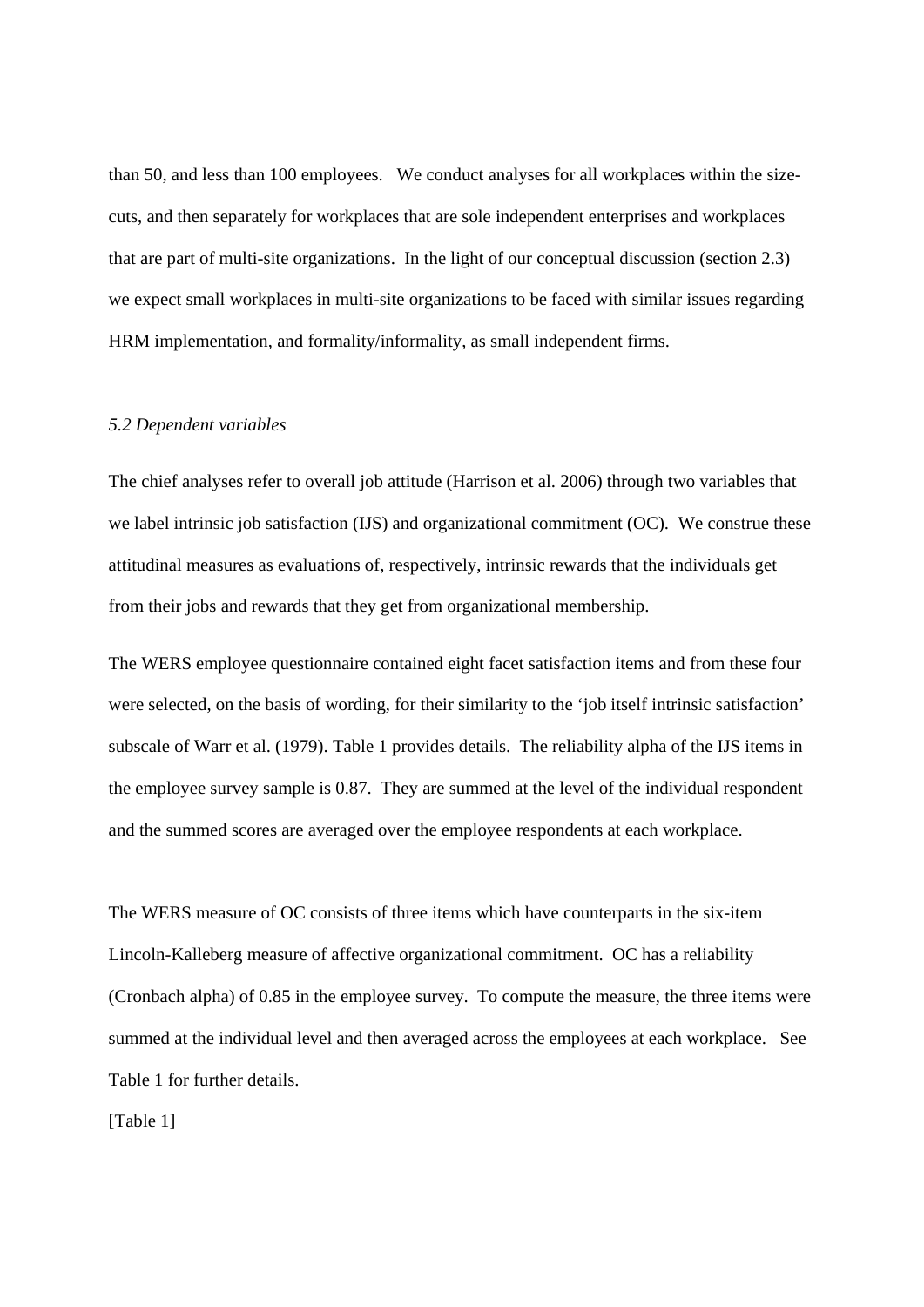than 50, and less than 100 employees. We conduct analyses for all workplaces within the sizecuts, and then separately for workplaces that are sole independent enterprises and workplaces that are part of multi-site organizations. In the light of our conceptual discussion (section 2.3) we expect small workplaces in multi-site organizations to be faced with similar issues regarding HRM implementation, and formality/informality, as small independent firms.

#### *5.2 Dependent variables*

The chief analyses refer to overall job attitude (Harrison et al. 2006) through two variables that we label intrinsic job satisfaction (IJS) and organizational commitment (OC). We construe these attitudinal measures as evaluations of, respectively, intrinsic rewards that the individuals get from their jobs and rewards that they get from organizational membership.

The WERS employee questionnaire contained eight facet satisfaction items and from these four were selected, on the basis of wording, for their similarity to the 'job itself intrinsic satisfaction' subscale of Warr et al. (1979). Table 1 provides details. The reliability alpha of the IJS items in the employee survey sample is 0.87. They are summed at the level of the individual respondent and the summed scores are averaged over the employee respondents at each workplace.

The WERS measure of OC consists of three items which have counterparts in the six-item Lincoln-Kalleberg measure of affective organizational commitment. OC has a reliability (Cronbach alpha) of 0.85 in the employee survey. To compute the measure, the three items were summed at the individual level and then averaged across the employees at each workplace. See Table 1 for further details.

[Table 1]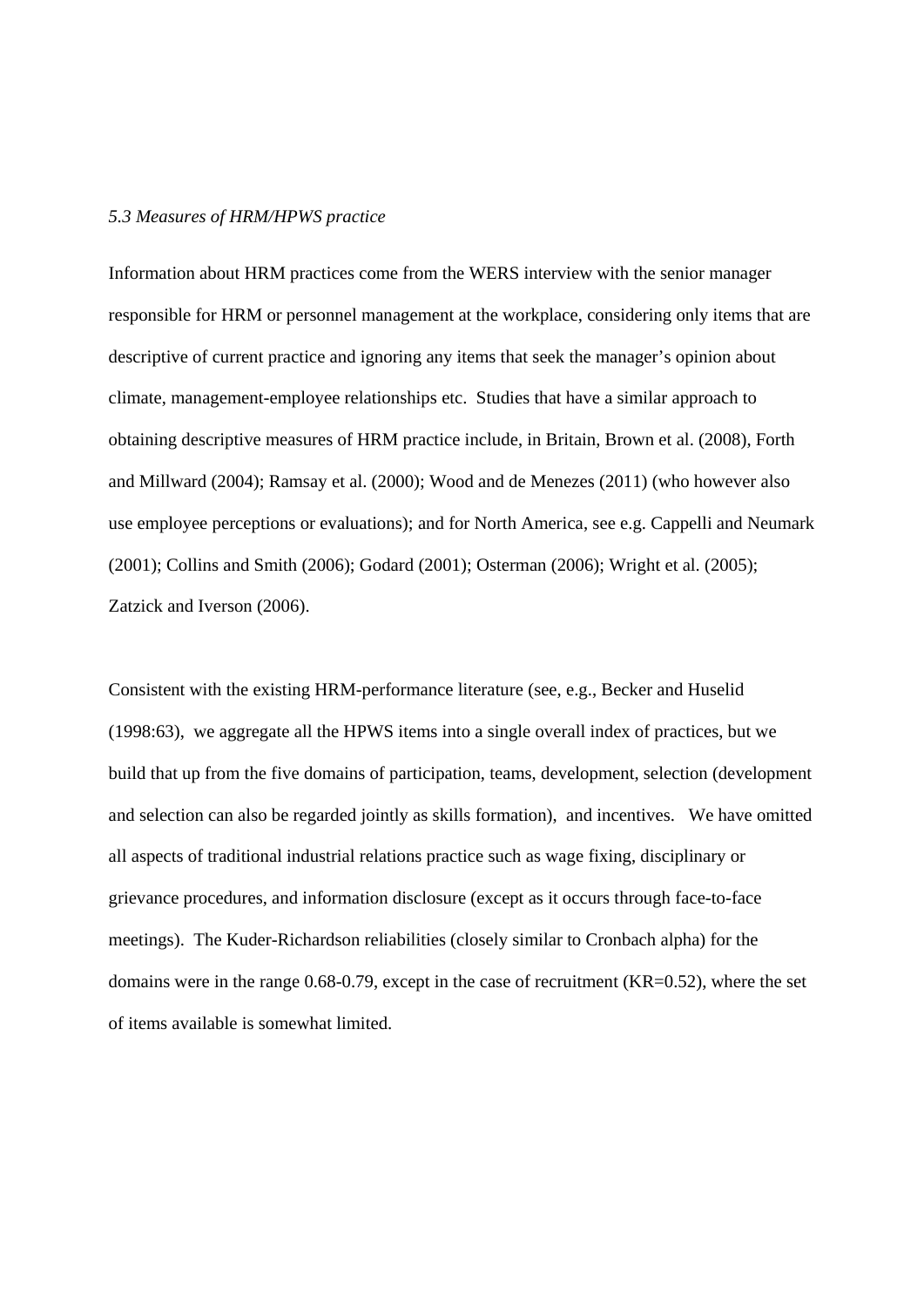#### *5.3 Measures of HRM/HPWS practice*

Information about HRM practices come from the WERS interview with the senior manager responsible for HRM or personnel management at the workplace, considering only items that are descriptive of current practice and ignoring any items that seek the manager's opinion about climate, management-employee relationships etc. Studies that have a similar approach to obtaining descriptive measures of HRM practice include, in Britain, Brown et al. (2008), Forth and Millward (2004); Ramsay et al. (2000); Wood and de Menezes (2011) (who however also use employee perceptions or evaluations); and for North America, see e.g. Cappelli and Neumark (2001); Collins and Smith (2006); Godard (2001); Osterman (2006); Wright et al. (2005); Zatzick and Iverson (2006).

Consistent with the existing HRM-performance literature (see, e.g., Becker and Huselid (1998:63), we aggregate all the HPWS items into a single overall index of practices, but we build that up from the five domains of participation, teams, development, selection (development and selection can also be regarded jointly as skills formation), and incentives. We have omitted all aspects of traditional industrial relations practice such as wage fixing, disciplinary or grievance procedures, and information disclosure (except as it occurs through face-to-face meetings). The Kuder-Richardson reliabilities (closely similar to Cronbach alpha) for the domains were in the range 0.68-0.79, except in the case of recruitment (KR=0.52), where the set of items available is somewhat limited.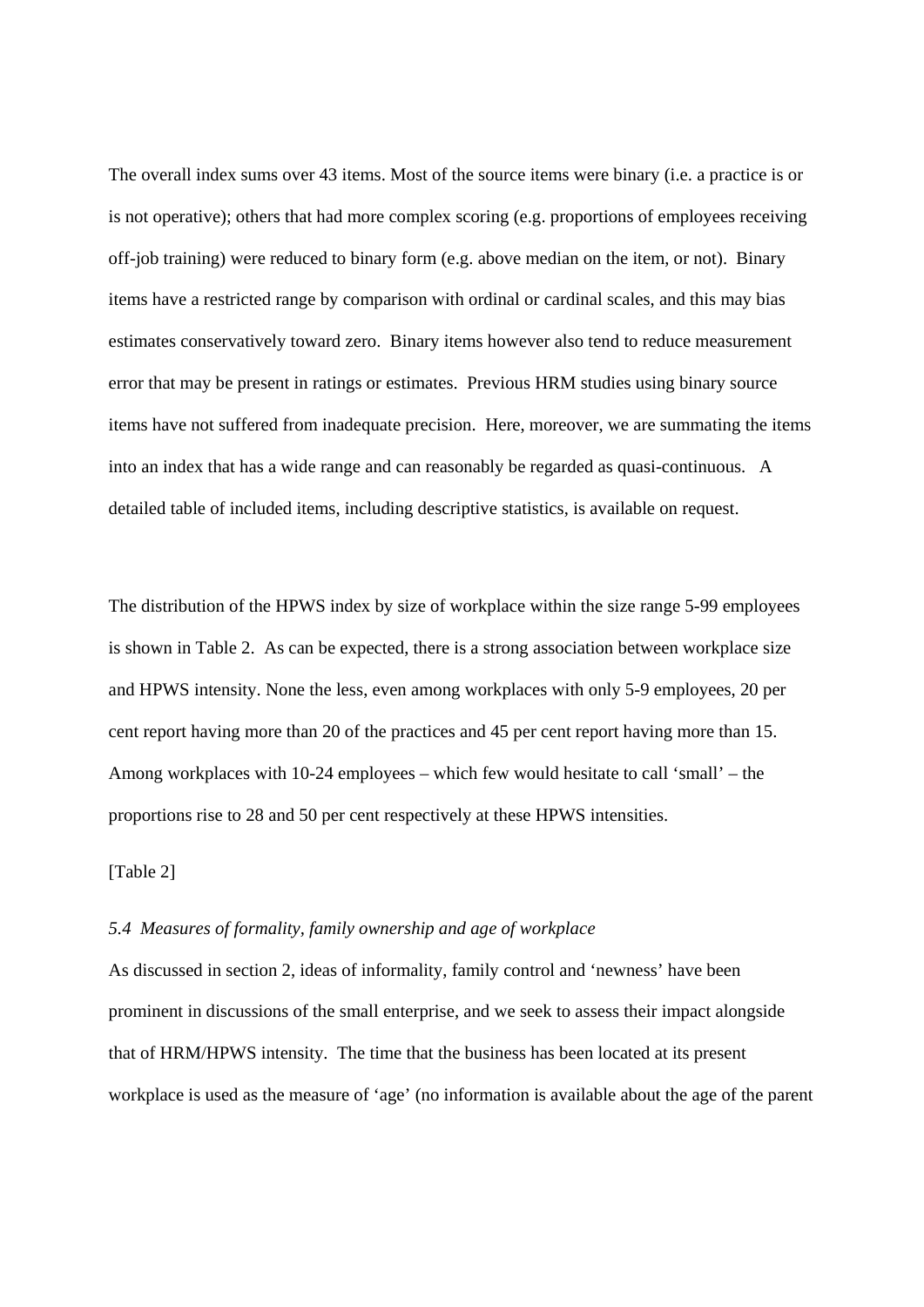The overall index sums over 43 items. Most of the source items were binary (i.e. a practice is or is not operative); others that had more complex scoring (e.g. proportions of employees receiving off-job training) were reduced to binary form (e.g. above median on the item, or not). Binary items have a restricted range by comparison with ordinal or cardinal scales, and this may bias estimates conservatively toward zero. Binary items however also tend to reduce measurement error that may be present in ratings or estimates. Previous HRM studies using binary source items have not suffered from inadequate precision. Here, moreover, we are summating the items into an index that has a wide range and can reasonably be regarded as quasi-continuous. A detailed table of included items, including descriptive statistics, is available on request.

The distribution of the HPWS index by size of workplace within the size range 5-99 employees is shown in Table 2. As can be expected, there is a strong association between workplace size and HPWS intensity. None the less, even among workplaces with only 5-9 employees, 20 per cent report having more than 20 of the practices and 45 per cent report having more than 15. Among workplaces with 10-24 employees – which few would hesitate to call 'small' – the proportions rise to 28 and 50 per cent respectively at these HPWS intensities.

[Table 2]

#### *5.4 Measures of formality, family ownership and age of workplace*

As discussed in section 2, ideas of informality, family control and 'newness' have been prominent in discussions of the small enterprise, and we seek to assess their impact alongside that of HRM/HPWS intensity. The time that the business has been located at its present workplace is used as the measure of 'age' (no information is available about the age of the parent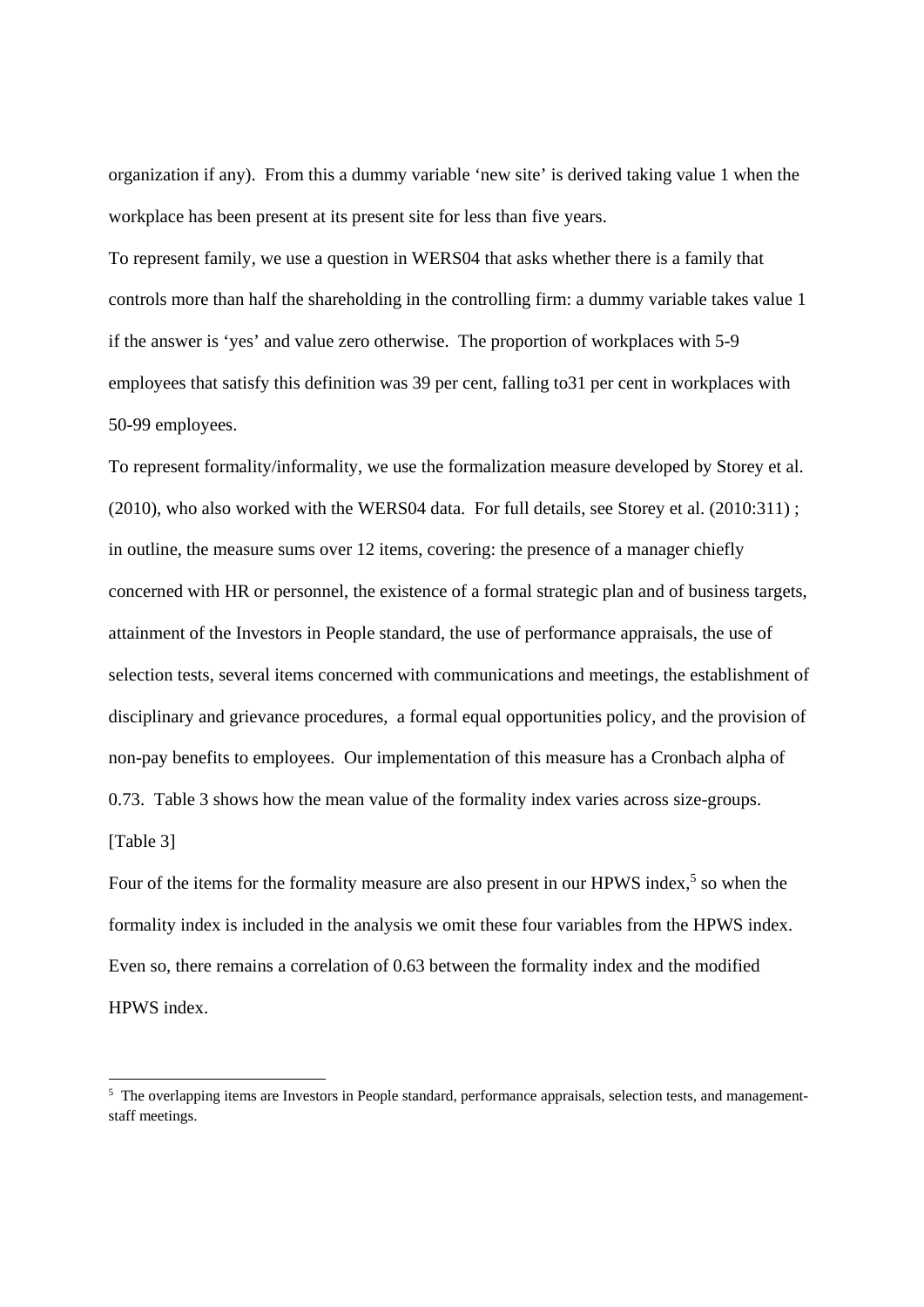organization if any). From this a dummy variable 'new site' is derived taking value 1 when the workplace has been present at its present site for less than five years.

To represent family, we use a question in WERS04 that asks whether there is a family that controls more than half the shareholding in the controlling firm: a dummy variable takes value 1 if the answer is 'yes' and value zero otherwise. The proportion of workplaces with 5-9 employees that satisfy this definition was 39 per cent, falling to31 per cent in workplaces with 50-99 employees.

To represent formality/informality, we use the formalization measure developed by Storey et al. (2010), who also worked with the WERS04 data. For full details, see Storey et al. (2010:311) ; in outline, the measure sums over 12 items, covering: the presence of a manager chiefly concerned with HR or personnel, the existence of a formal strategic plan and of business targets, attainment of the Investors in People standard, the use of performance appraisals, the use of selection tests, several items concerned with communications and meetings, the establishment of disciplinary and grievance procedures, a formal equal opportunities policy, and the provision of non-pay benefits to employees. Our implementation of this measure has a Cronbach alpha of 0.73. Table 3 shows how the mean value of the formality index varies across size-groups. [Table 3]

Four of the items for the formality measure are also present in our HPWS index,<sup>5</sup> so when the formality index is included in the analysis we omit these four variables from the HPWS index. Even so, there remains a correlation of 0.63 between the formality index and the modified HPWS index.

-

<sup>&</sup>lt;sup>5</sup> The overlapping items are Investors in People standard, performance appraisals, selection tests, and managementstaff meetings.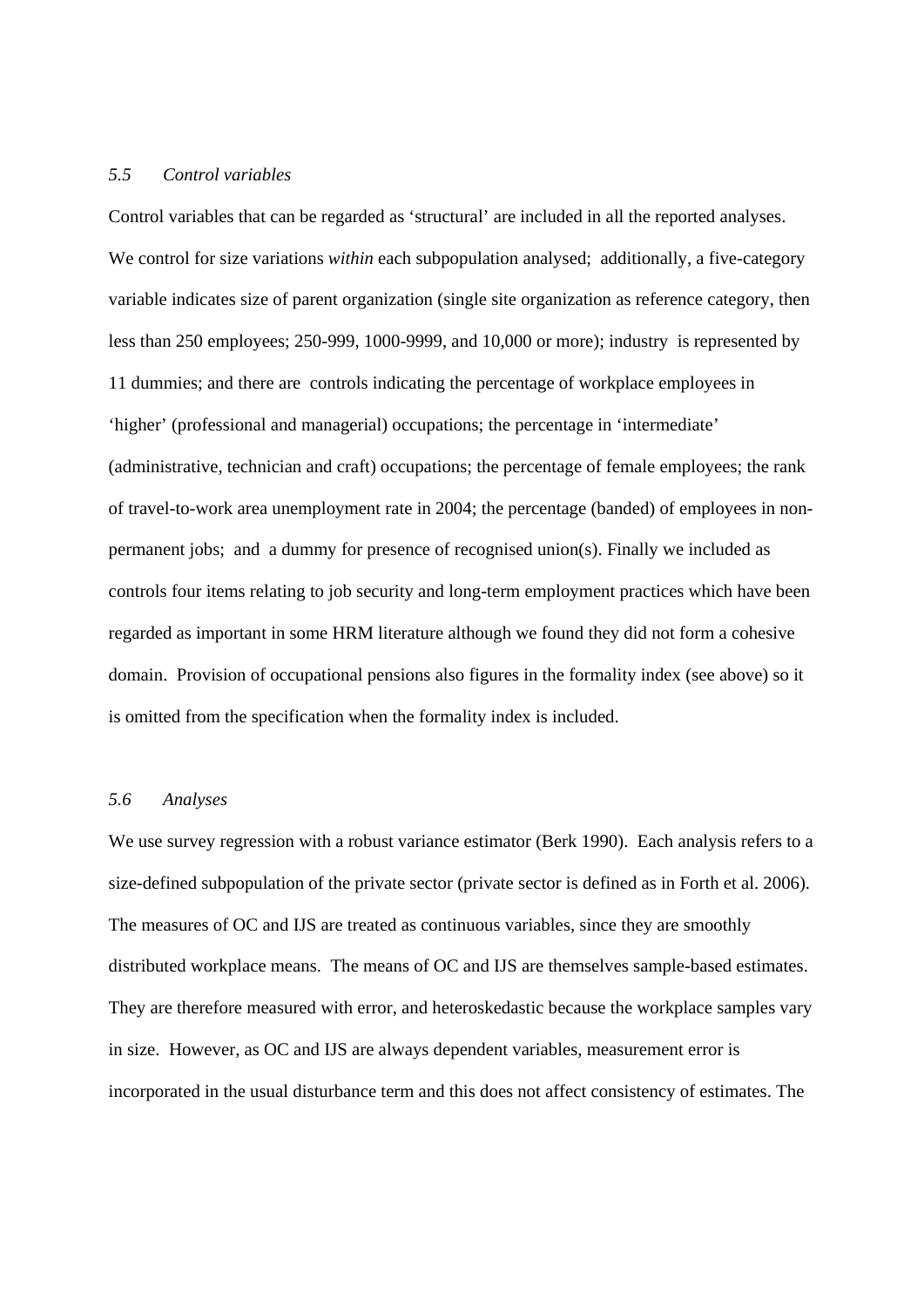#### *5.5 Control variables*

Control variables that can be regarded as 'structural' are included in all the reported analyses. We control for size variations *within* each subpopulation analysed; additionally, a five-category variable indicates size of parent organization (single site organization as reference category, then less than 250 employees; 250-999, 1000-9999, and 10,000 or more); industry is represented by 11 dummies; and there are controls indicating the percentage of workplace employees in 'higher' (professional and managerial) occupations; the percentage in 'intermediate' (administrative, technician and craft) occupations; the percentage of female employees; the rank of travel-to-work area unemployment rate in 2004; the percentage (banded) of employees in nonpermanent jobs; and a dummy for presence of recognised union(s). Finally we included as controls four items relating to job security and long-term employment practices which have been regarded as important in some HRM literature although we found they did not form a cohesive domain. Provision of occupational pensions also figures in the formality index (see above) so it is omitted from the specification when the formality index is included.

#### *5.6 Analyses*

We use survey regression with a robust variance estimator (Berk 1990). Each analysis refers to a size-defined subpopulation of the private sector (private sector is defined as in Forth et al. 2006). The measures of OC and IJS are treated as continuous variables, since they are smoothly distributed workplace means. The means of OC and IJS are themselves sample-based estimates. They are therefore measured with error, and heteroskedastic because the workplace samples vary in size. However, as OC and IJS are always dependent variables, measurement error is incorporated in the usual disturbance term and this does not affect consistency of estimates. The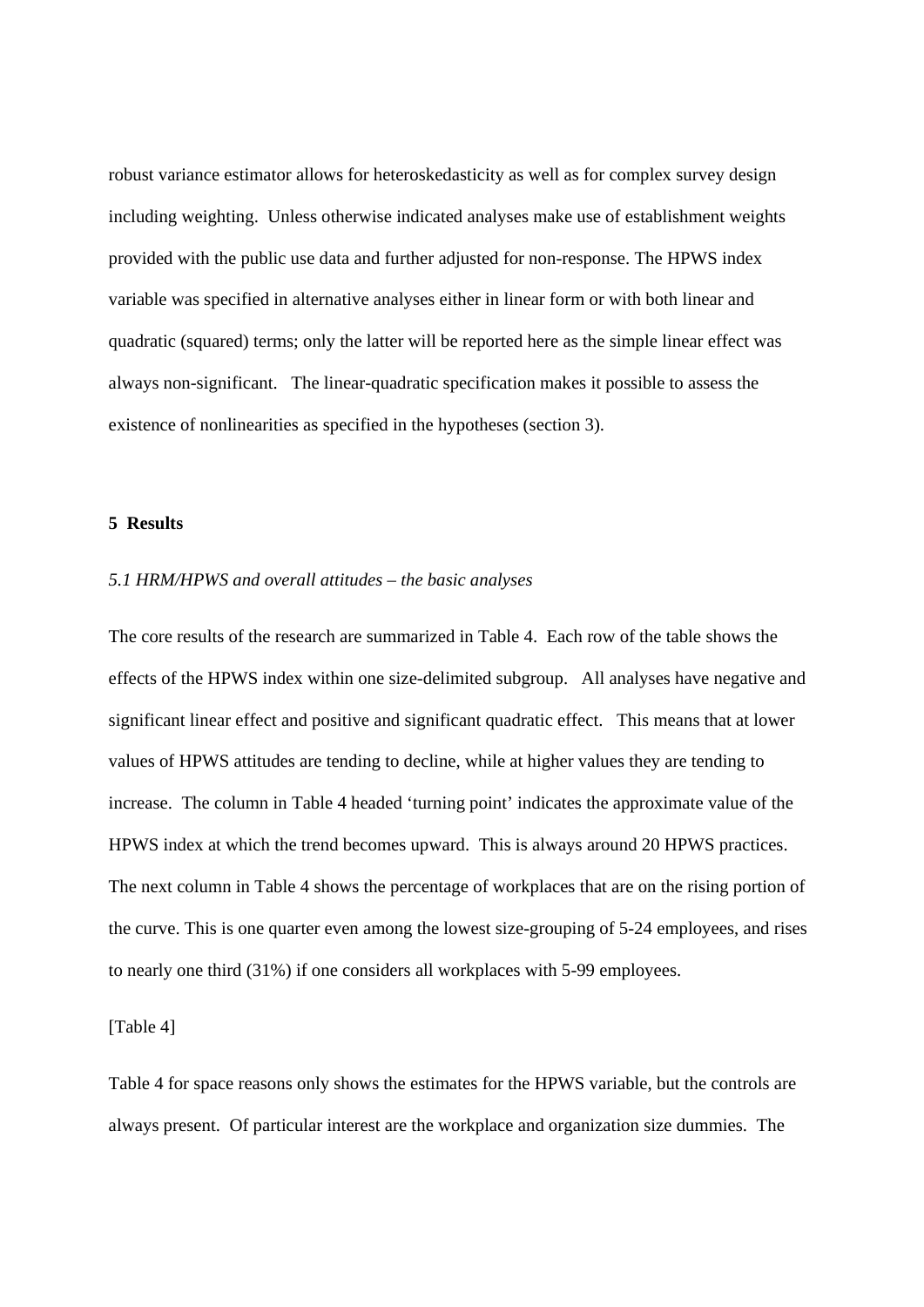robust variance estimator allows for heteroskedasticity as well as for complex survey design including weighting. Unless otherwise indicated analyses make use of establishment weights provided with the public use data and further adjusted for non-response. The HPWS index variable was specified in alternative analyses either in linear form or with both linear and quadratic (squared) terms; only the latter will be reported here as the simple linear effect was always non-significant. The linear-quadratic specification makes it possible to assess the existence of nonlinearities as specified in the hypotheses (section 3).

#### **5 Results**

#### *5.1 HRM/HPWS and overall attitudes – the basic analyses*

The core results of the research are summarized in Table 4. Each row of the table shows the effects of the HPWS index within one size-delimited subgroup. All analyses have negative and significant linear effect and positive and significant quadratic effect. This means that at lower values of HPWS attitudes are tending to decline, while at higher values they are tending to increase. The column in Table 4 headed 'turning point' indicates the approximate value of the HPWS index at which the trend becomes upward. This is always around 20 HPWS practices. The next column in Table 4 shows the percentage of workplaces that are on the rising portion of the curve. This is one quarter even among the lowest size-grouping of 5-24 employees, and rises to nearly one third (31%) if one considers all workplaces with 5-99 employees.

[Table 4]

Table 4 for space reasons only shows the estimates for the HPWS variable, but the controls are always present. Of particular interest are the workplace and organization size dummies. The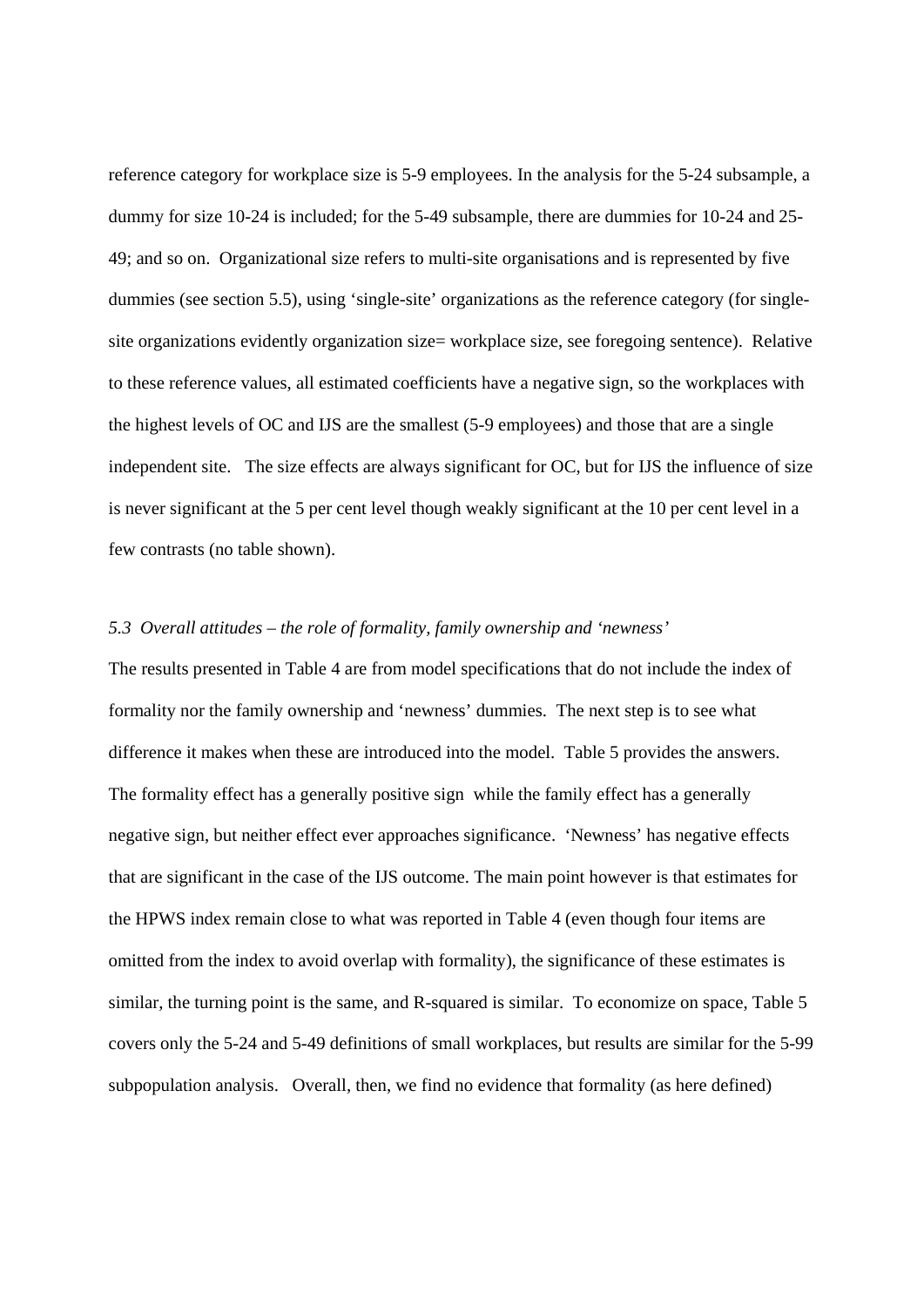reference category for workplace size is 5-9 employees. In the analysis for the 5-24 subsample, a dummy for size 10-24 is included; for the 5-49 subsample, there are dummies for 10-24 and 25- 49; and so on. Organizational size refers to multi-site organisations and is represented by five dummies (see section 5.5), using 'single-site' organizations as the reference category (for singlesite organizations evidently organization size= workplace size, see foregoing sentence). Relative to these reference values, all estimated coefficients have a negative sign, so the workplaces with the highest levels of OC and IJS are the smallest (5-9 employees) and those that are a single independent site. The size effects are always significant for OC, but for IJS the influence of size is never significant at the 5 per cent level though weakly significant at the 10 per cent level in a few contrasts (no table shown).

#### *5.3 Overall attitudes – the role of formality, family ownership and 'newness'*

The results presented in Table 4 are from model specifications that do not include the index of formality nor the family ownership and 'newness' dummies. The next step is to see what difference it makes when these are introduced into the model. Table 5 provides the answers. The formality effect has a generally positive sign while the family effect has a generally negative sign, but neither effect ever approaches significance. 'Newness' has negative effects that are significant in the case of the IJS outcome. The main point however is that estimates for the HPWS index remain close to what was reported in Table 4 (even though four items are omitted from the index to avoid overlap with formality), the significance of these estimates is similar, the turning point is the same, and R-squared is similar. To economize on space, Table 5 covers only the 5-24 and 5-49 definitions of small workplaces, but results are similar for the 5-99 subpopulation analysis. Overall, then, we find no evidence that formality (as here defined)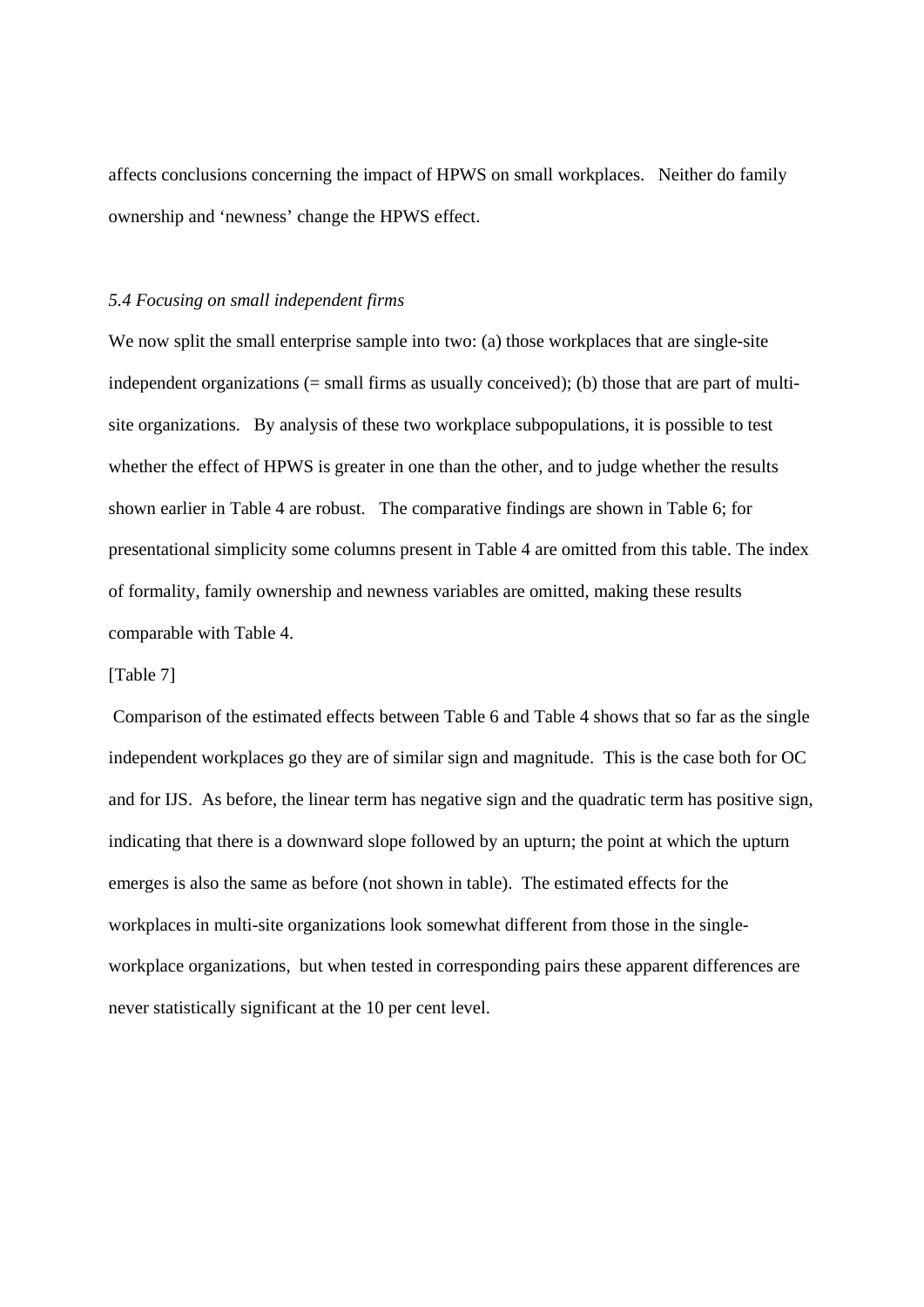affects conclusions concerning the impact of HPWS on small workplaces. Neither do family ownership and 'newness' change the HPWS effect.

#### *5.4 Focusing on small independent firms*

We now split the small enterprise sample into two: (a) those workplaces that are single-site independent organizations  $(= \text{small firms as usually conceived})$ ; (b) those that are part of multisite organizations. By analysis of these two workplace subpopulations, it is possible to test whether the effect of HPWS is greater in one than the other, and to judge whether the results shown earlier in Table 4 are robust. The comparative findings are shown in Table 6; for presentational simplicity some columns present in Table 4 are omitted from this table. The index of formality, family ownership and newness variables are omitted, making these results comparable with Table 4.

#### [Table 7]

 Comparison of the estimated effects between Table 6 and Table 4 shows that so far as the single independent workplaces go they are of similar sign and magnitude. This is the case both for OC and for IJS. As before, the linear term has negative sign and the quadratic term has positive sign, indicating that there is a downward slope followed by an upturn; the point at which the upturn emerges is also the same as before (not shown in table). The estimated effects for the workplaces in multi-site organizations look somewhat different from those in the singleworkplace organizations, but when tested in corresponding pairs these apparent differences are never statistically significant at the 10 per cent level.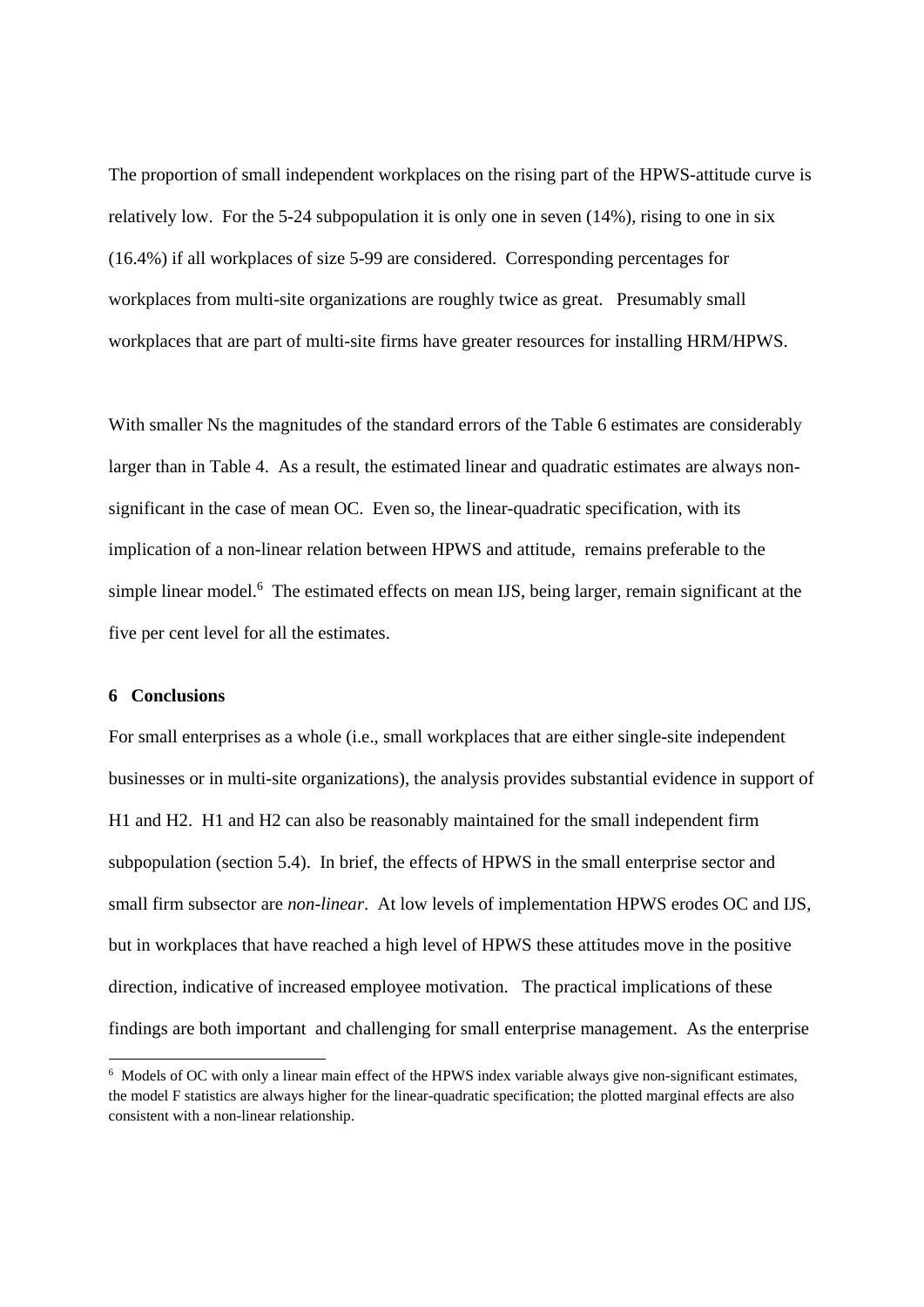The proportion of small independent workplaces on the rising part of the HPWS-attitude curve is relatively low. For the 5-24 subpopulation it is only one in seven (14%), rising to one in six (16.4%) if all workplaces of size 5-99 are considered. Corresponding percentages for workplaces from multi-site organizations are roughly twice as great. Presumably small workplaces that are part of multi-site firms have greater resources for installing HRM/HPWS.

With smaller Ns the magnitudes of the standard errors of the Table 6 estimates are considerably larger than in Table 4. As a result, the estimated linear and quadratic estimates are always nonsignificant in the case of mean OC. Even so, the linear-quadratic specification, with its implication of a non-linear relation between HPWS and attitude, remains preferable to the simple linear model.<sup>6</sup> The estimated effects on mean IJS, being larger, remain significant at the five per cent level for all the estimates.

#### **6 Conclusions**

1

For small enterprises as a whole (i.e., small workplaces that are either single-site independent businesses or in multi-site organizations), the analysis provides substantial evidence in support of H1 and H2. H1 and H2 can also be reasonably maintained for the small independent firm subpopulation (section 5.4). In brief, the effects of HPWS in the small enterprise sector and small firm subsector are *non-linear*. At low levels of implementation HPWS erodes OC and IJS, but in workplaces that have reached a high level of HPWS these attitudes move in the positive direction, indicative of increased employee motivation. The practical implications of these findings are both important and challenging for small enterprise management. As the enterprise

<sup>&</sup>lt;sup>6</sup> Models of OC with only a linear main effect of the HPWS index variable always give non-significant estimates, the model F statistics are always higher for the linear-quadratic specification; the plotted marginal effects are also consistent with a non-linear relationship.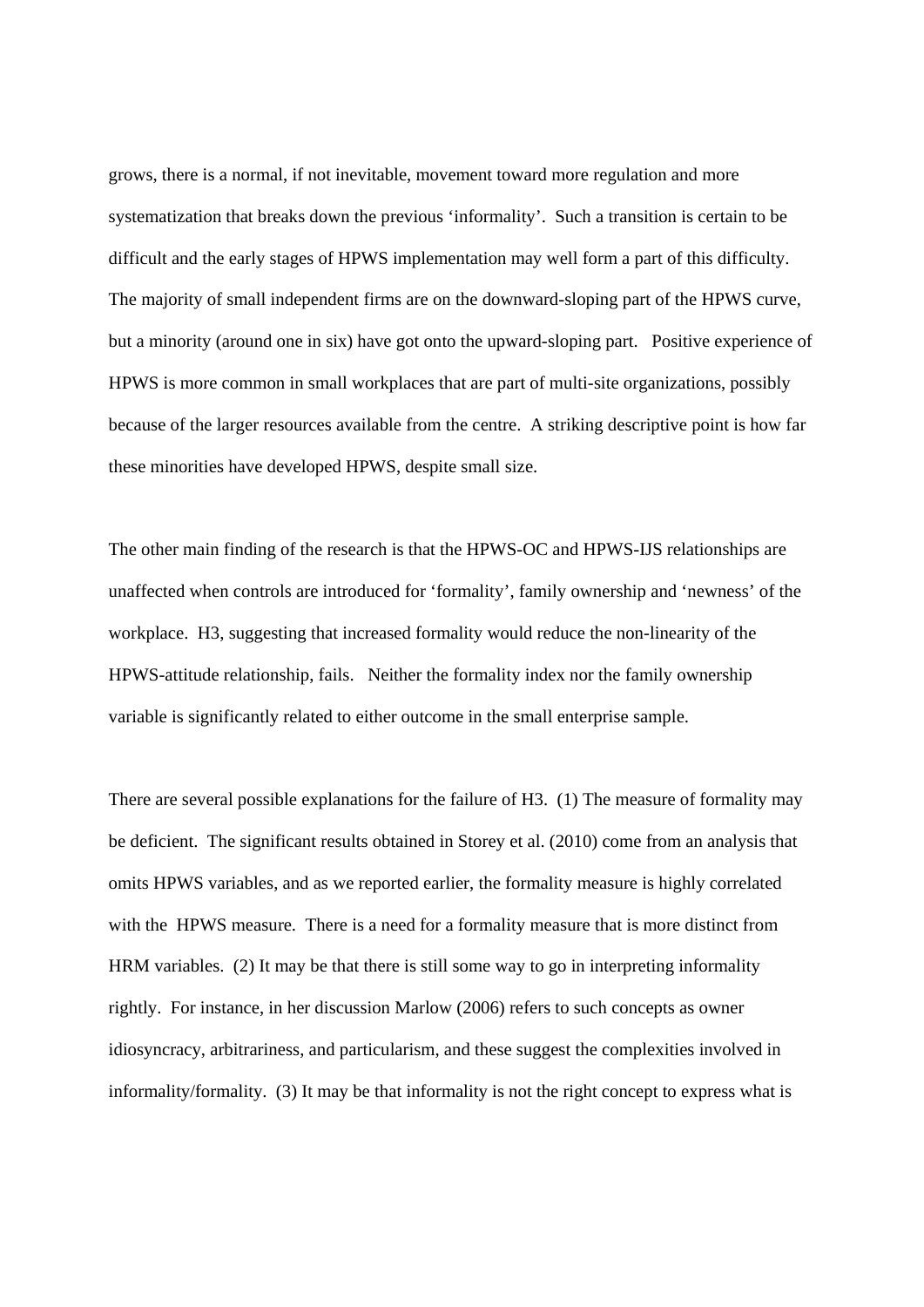grows, there is a normal, if not inevitable, movement toward more regulation and more systematization that breaks down the previous 'informality'. Such a transition is certain to be difficult and the early stages of HPWS implementation may well form a part of this difficulty. The majority of small independent firms are on the downward-sloping part of the HPWS curve, but a minority (around one in six) have got onto the upward-sloping part. Positive experience of HPWS is more common in small workplaces that are part of multi-site organizations, possibly because of the larger resources available from the centre. A striking descriptive point is how far these minorities have developed HPWS, despite small size.

The other main finding of the research is that the HPWS-OC and HPWS-IJS relationships are unaffected when controls are introduced for 'formality', family ownership and 'newness' of the workplace. H3, suggesting that increased formality would reduce the non-linearity of the HPWS-attitude relationship, fails. Neither the formality index nor the family ownership variable is significantly related to either outcome in the small enterprise sample.

There are several possible explanations for the failure of H3. (1) The measure of formality may be deficient. The significant results obtained in Storey et al. (2010) come from an analysis that omits HPWS variables, and as we reported earlier, the formality measure is highly correlated with the HPWS measure. There is a need for a formality measure that is more distinct from HRM variables. (2) It may be that there is still some way to go in interpreting informality rightly. For instance, in her discussion Marlow (2006) refers to such concepts as owner idiosyncracy, arbitrariness, and particularism, and these suggest the complexities involved in informality/formality. (3) It may be that informality is not the right concept to express what is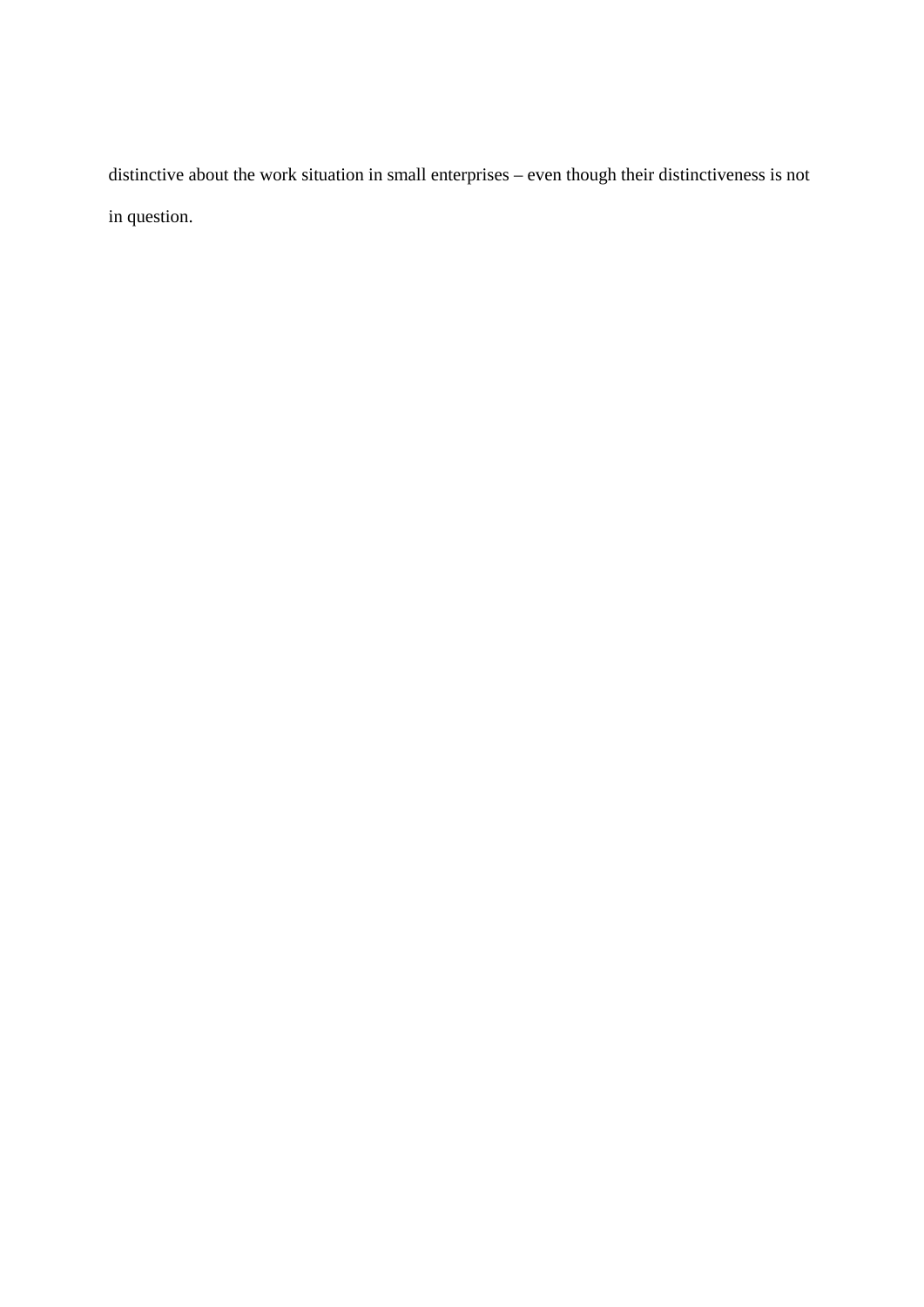distinctive about the work situation in small enterprises – even though their distinctiveness is not in question.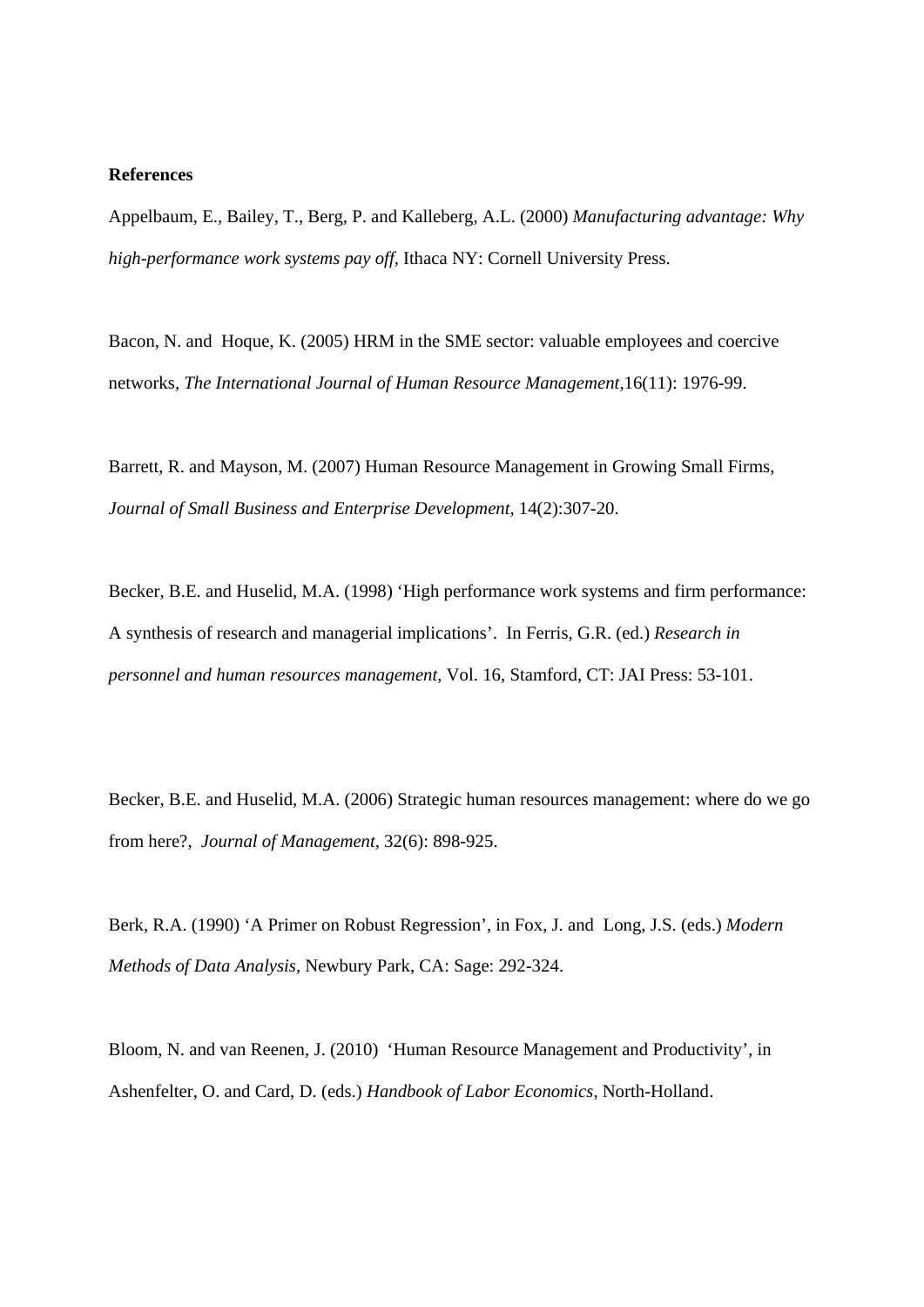#### **References**

Appelbaum, E., Bailey, T., Berg, P. and Kalleberg, A.L. (2000) *Manufacturing advantage: Why high-performance work systems pay off*, Ithaca NY: Cornell University Press.

Bacon, N. and Hoque, K. (2005) HRM in the SME sector: valuable employees and coercive networks, *The International Journal of Human Resource Management*,16(11): 1976-99.

Barrett, R. and Mayson, M. (2007) Human Resource Management in Growing Small Firms, *Journal of Small Business and Enterprise Development*, 14(2):307-20.

Becker, B.E. and Huselid, M.A. (1998) 'High performance work systems and firm performance: A synthesis of research and managerial implications'. In Ferris, G.R. (ed.) *Research in personnel and human resources management*, Vol. 16, Stamford, CT: JAI Press: 53-101.

Becker, B.E. and Huselid, M.A. (2006) Strategic human resources management: where do we go from here?, *Journal of Management,* 32(6): 898-925.

Berk, R.A. (1990) 'A Primer on Robust Regression', in Fox, J. and Long, J.S. (eds.) *Modern Methods of Data Analysis,* Newbury Park, CA: Sage: 292-324.

Bloom, N. and van Reenen, J. (2010) 'Human Resource Management and Productivity', in Ashenfelter, O. and Card, D. (eds.) *Handbook of Labor Economics*, North-Holland.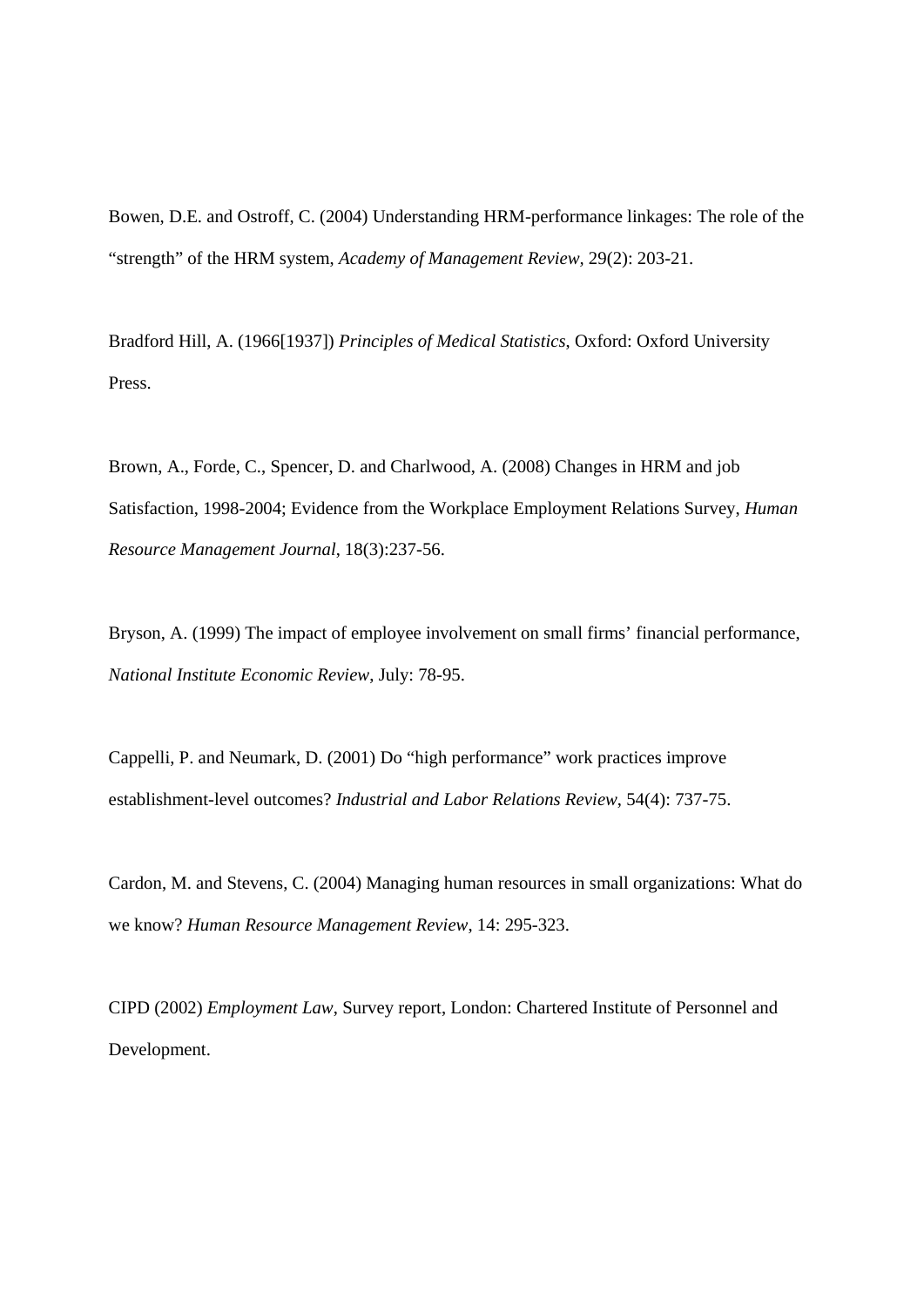Bowen, D.E. and Ostroff, C. (2004) Understanding HRM-performance linkages: The role of the "strength" of the HRM system, *Academy of Management Review,* 29(2): 203-21.

Bradford Hill, A. (1966[1937]) *Principles of Medical Statistics*, Oxford: Oxford University Press.

Brown, A., Forde, C., Spencer, D. and Charlwood, A. (2008) Changes in HRM and job Satisfaction, 1998-2004; Evidence from the Workplace Employment Relations Survey, *Human Resource Management Journal*, 18(3):237-56.

Bryson, A. (1999) The impact of employee involvement on small firms' financial performance, *National Institute Economic Review*, July: 78-95.

Cappelli, P. and Neumark, D. (2001) Do "high performance" work practices improve establishment-level outcomes? *Industrial and Labor Relations Review*, 54(4): 737-75.

Cardon, M. and Stevens, C. (2004) Managing human resources in small organizations: What do we know? *Human Resource Management Review*, 14: 295-323.

CIPD (2002) *Employment Law*, Survey report, London: Chartered Institute of Personnel and Development.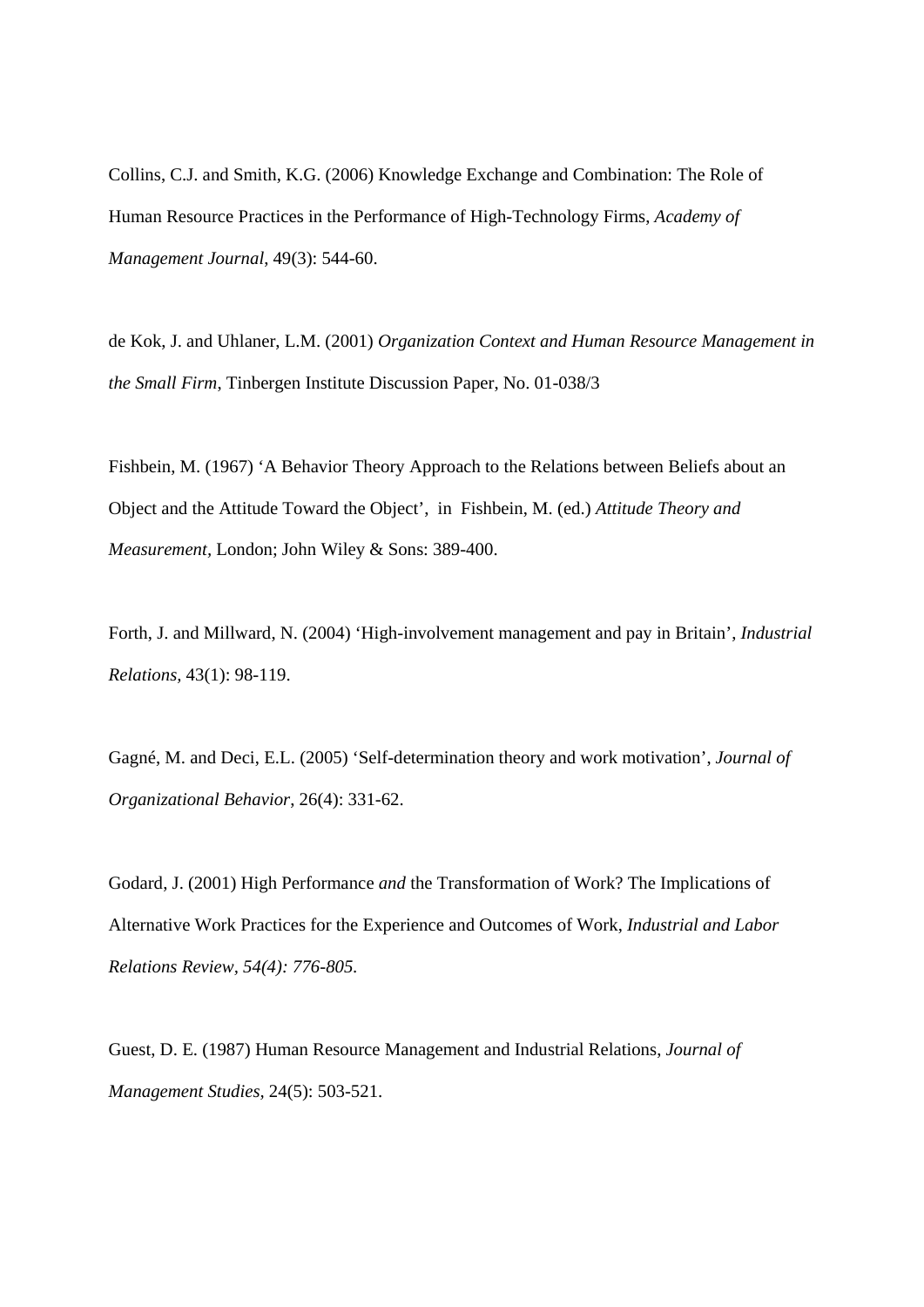Collins, C.J. and Smith, K.G. (2006) Knowledge Exchange and Combination: The Role of Human Resource Practices in the Performance of High-Technology Firms, *Academy of Management Journal*, 49(3): 544-60.

de Kok, J. and Uhlaner, L.M. (2001) *Organization Context and Human Resource Management in the Small Firm*, Tinbergen Institute Discussion Paper, No. 01-038/3

Fishbein, M. (1967) 'A Behavior Theory Approach to the Relations between Beliefs about an Object and the Attitude Toward the Object', in Fishbein, M. (ed.) *Attitude Theory and Measurement,* London; John Wiley & Sons: 389-400.

Forth, J. and Millward, N. (2004) 'High-involvement management and pay in Britain', *Industrial Relations,* 43(1): 98-119.

Gagné, M. and Deci, E.L. (2005) 'Self-determination theory and work motivation', *Journal of Organizational Behavior*, 26(4): 331-62.

Godard, J. (2001) High Performance *and* the Transformation of Work? The Implications of Alternative Work Practices for the Experience and Outcomes of Work, *Industrial and Labor Relations Review, 54(4): 776-805.* 

Guest, D. E. (1987) Human Resource Management and Industrial Relations, *Journal of Management Studies,* 24(5): 503-521.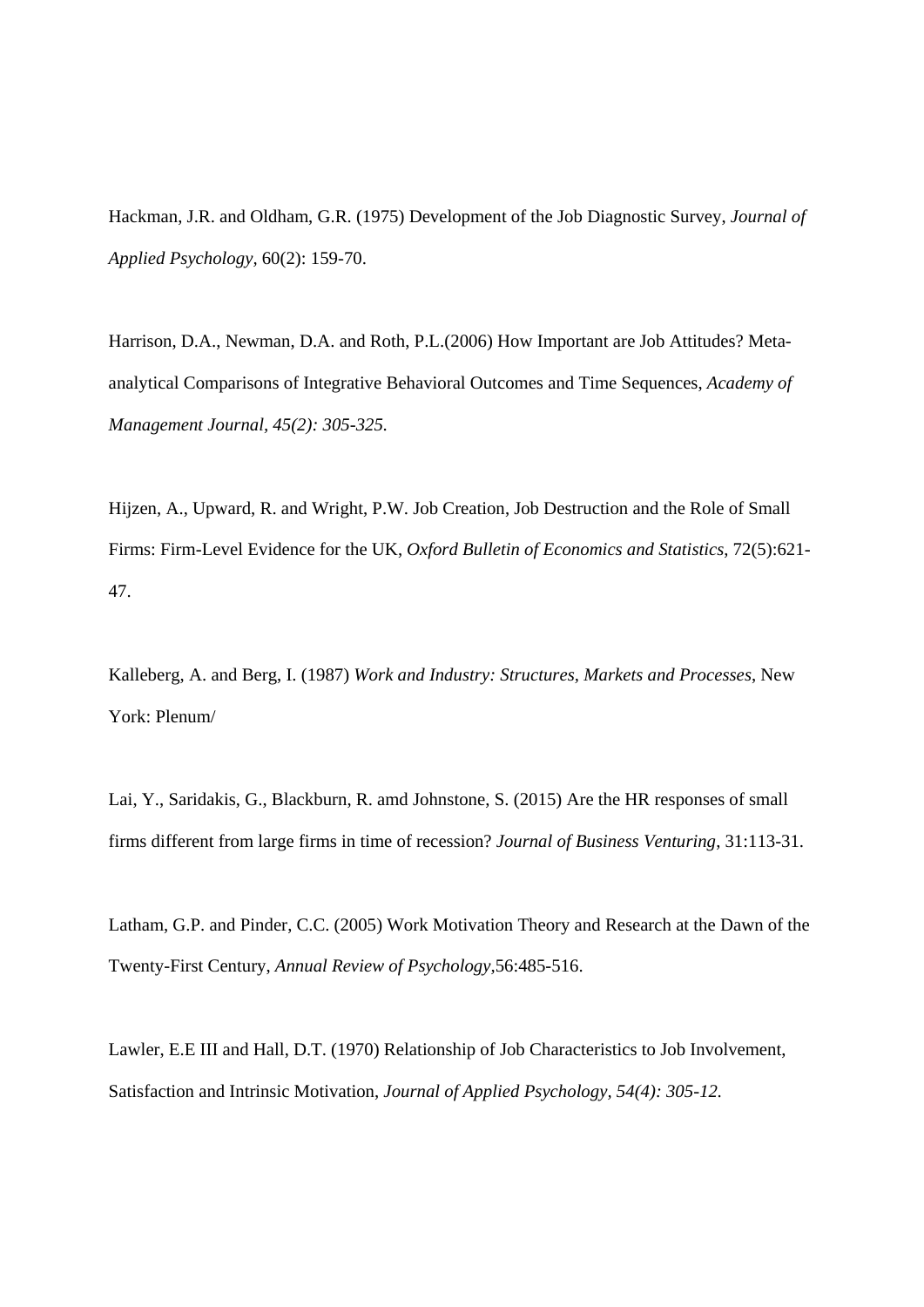Hackman, J.R. and Oldham, G.R. (1975) Development of the Job Diagnostic Survey, *Journal of Applied Psychology,* 60(2): 159-70.

Harrison, D.A., Newman, D.A. and Roth, P.L.(2006) How Important are Job Attitudes? Metaanalytical Comparisons of Integrative Behavioral Outcomes and Time Sequences, *Academy of Management Journal, 45(2): 305-325.* 

Hijzen, A., Upward, R. and Wright, P.W. Job Creation, Job Destruction and the Role of Small Firms: Firm-Level Evidence for the UK, *Oxford Bulletin of Economics and Statistics*, 72(5):621- 47.

Kalleberg, A. and Berg, I. (1987) *Work and Industry: Structures, Markets and Processes*, New York: Plenum/

Lai, Y., Saridakis, G., Blackburn, R. amd Johnstone, S. (2015) Are the HR responses of small firms different from large firms in time of recession? *Journal of Business Venturing*, 31:113-31.

Latham, G.P. and Pinder, C.C. (2005) Work Motivation Theory and Research at the Dawn of the Twenty-First Century, *Annual Review of Psychology,*56:485-516.

Lawler, E.E III and Hall, D.T. (1970) Relationship of Job Characteristics to Job Involvement, Satisfaction and Intrinsic Motivation, *Journal of Applied Psychology, 54(4): 305-12.*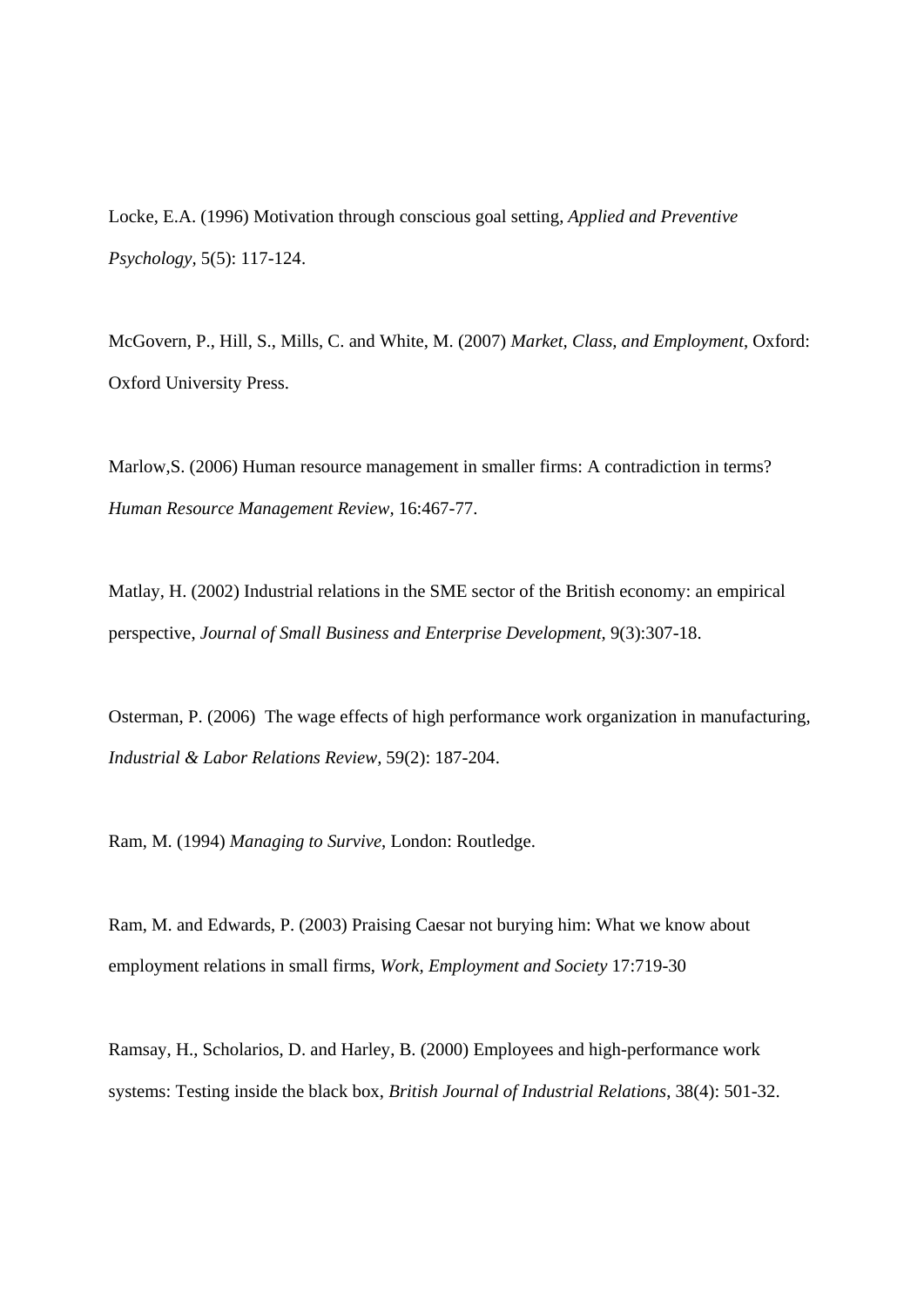Locke, E.A. (1996) Motivation through conscious goal setting, *Applied and Preventive Psychology,* 5(5): 117-124.

McGovern, P., Hill, S., Mills, C. and White, M. (2007) *Market, Class, and Employment*, Oxford: Oxford University Press.

Marlow,S. (2006) Human resource management in smaller firms: A contradiction in terms? *Human Resource Management Review,* 16:467-77.

Matlay, H. (2002) Industrial relations in the SME sector of the British economy: an empirical perspective, *Journal of Small Business and Enterprise Development,* 9(3):307-18.

Osterman, P. (2006) The wage effects of high performance work organization in manufacturing, *Industrial & Labor Relations Review,* 59(2): 187-204.

Ram, M. (1994) *Managing to Survive*, London: Routledge.

Ram, M. and Edwards, P. (2003) Praising Caesar not burying him: What we know about employment relations in small firms, *Work, Employment and Society* 17:719-30

Ramsay, H., Scholarios, D. and Harley, B. (2000) Employees and high-performance work systems: Testing inside the black box, *British Journal of Industrial Relations*, 38(4): 501-32.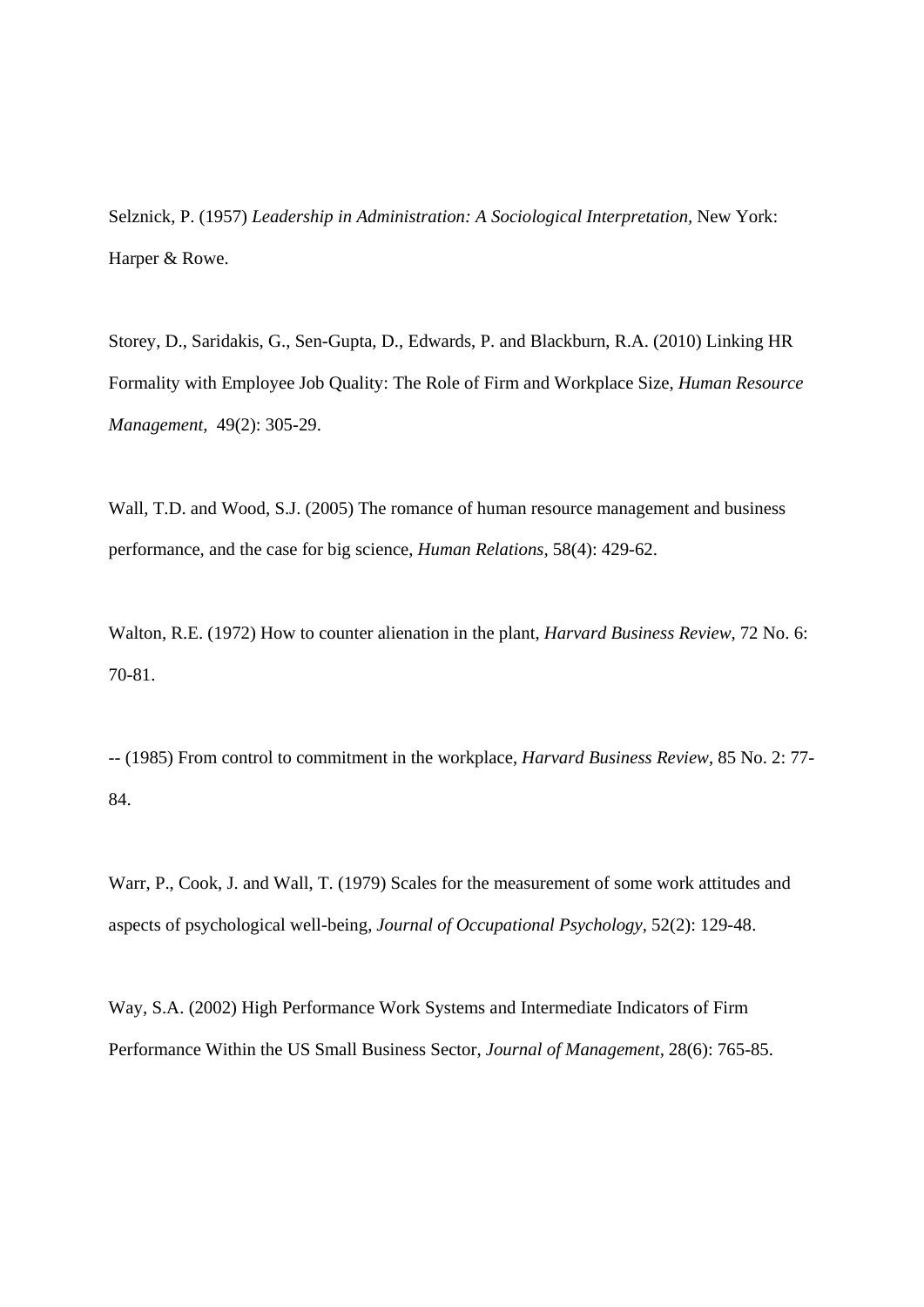Selznick, P. (1957) *Leadership in Administration: A Sociological Interpretation,* New York: Harper & Rowe.

Storey, D., Saridakis, G., Sen-Gupta, D., Edwards, P. and Blackburn, R.A. (2010) Linking HR Formality with Employee Job Quality: The Role of Firm and Workplace Size, *Human Resource Management,* 49(2): 305-29.

Wall, T.D. and Wood, S.J. (2005) The romance of human resource management and business performance, and the case for big science, *Human Relations,* 58(4): 429-62.

Walton, R.E. (1972) How to counter alienation in the plant, *Harvard Business Review,* 72 No. 6: 70-81.

-- (1985) From control to commitment in the workplace, *Harvard Business Review*, 85 No. 2: 77- 84.

Warr, P., Cook, J. and Wall, T. (1979) Scales for the measurement of some work attitudes and aspects of psychological well-being, *Journal of Occupational Psychology,* 52(2): 129-48.

Way, S.A. (2002) High Performance Work Systems and Intermediate Indicators of Firm Performance Within the US Small Business Sector, *Journal of Management,* 28(6): 765-85.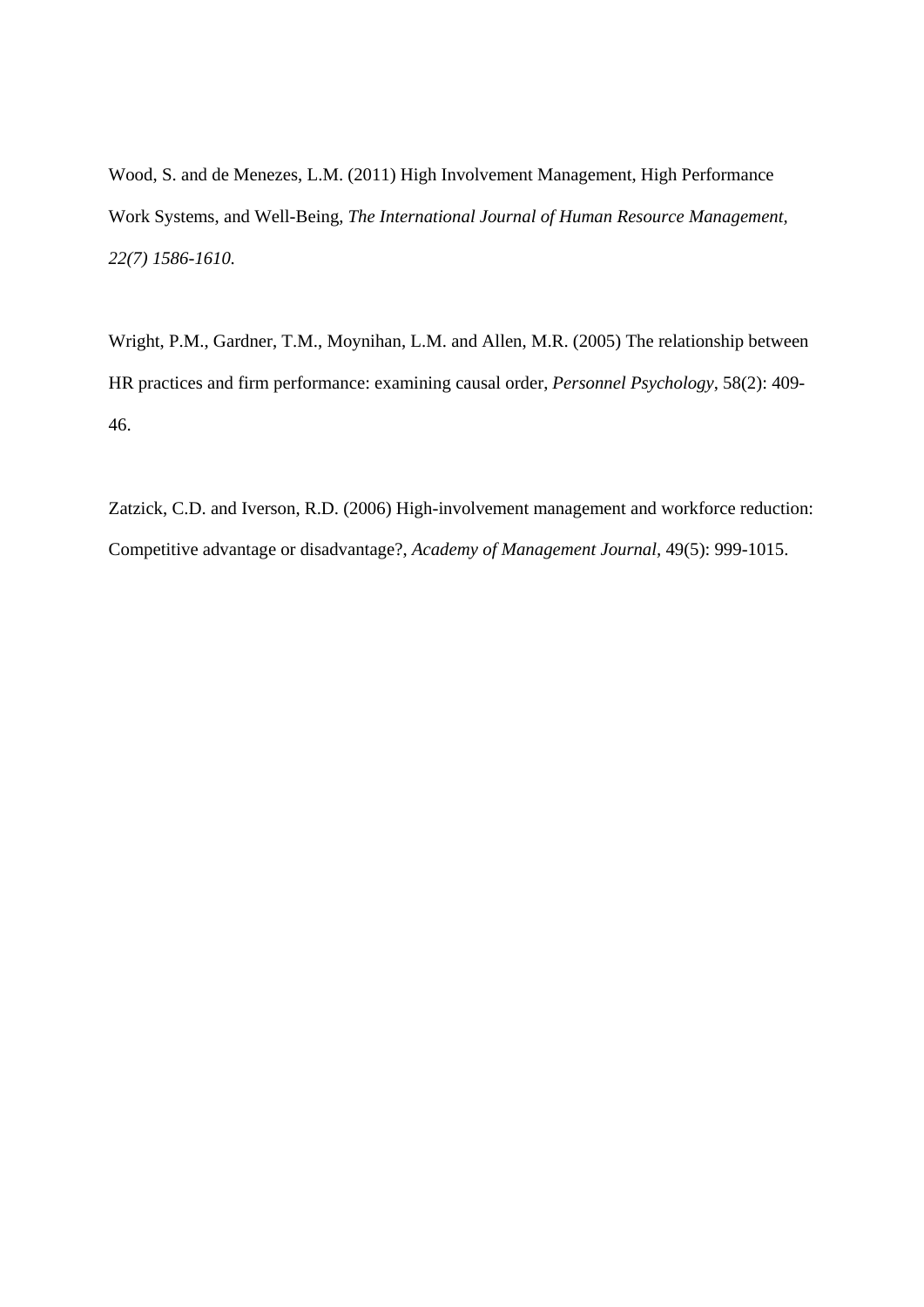Wood, S. and de Menezes, L.M. (2011) High Involvement Management, High Performance Work Systems, and Well-Being, *The International Journal of Human Resource Management, 22(7) 1586-1610.* 

Wright, P.M., Gardner, T.M., Moynihan, L.M. and Allen, M.R. (2005) The relationship between HR practices and firm performance: examining causal order, *Personnel Psychology*, 58(2): 409- 46.

Zatzick, C.D. and Iverson, R.D. (2006) High-involvement management and workforce reduction: Competitive advantage or disadvantage?, *Academy of Management Journal,* 49(5): 999-1015.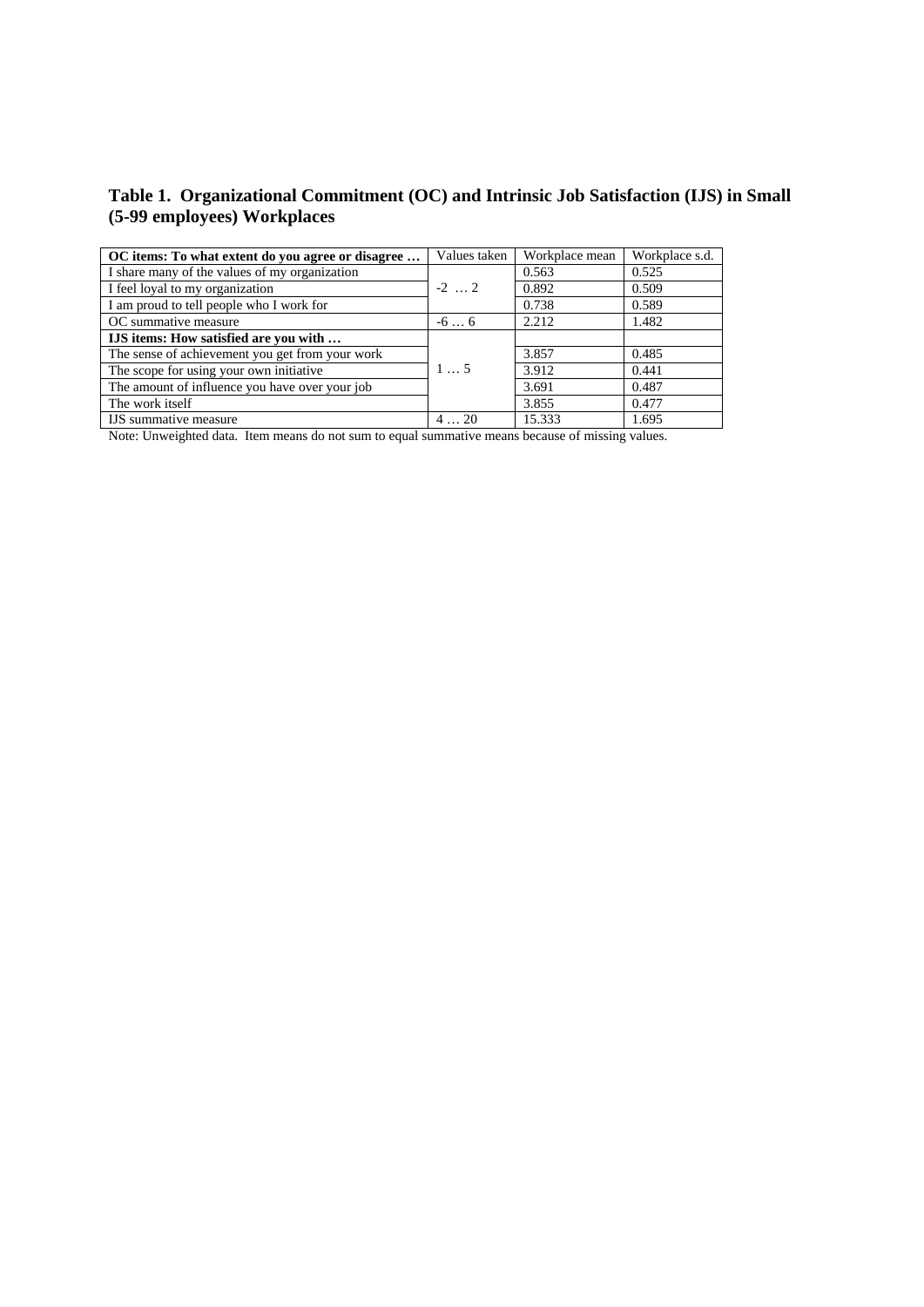#### **Table 1. Organizational Commitment (OC) and Intrinsic Job Satisfaction (IJS) in Small (5-99 employees) Workplaces**

| OC items: To what extent do you agree or disagree | Values taken | Workplace mean | Workplace s.d. |
|---------------------------------------------------|--------------|----------------|----------------|
| I share many of the values of my organization     |              | 0.563          | 0.525          |
| I feel loyal to my organization                   | $-2$ 2       | 0.892          | 0.509          |
| I am proud to tell people who I work for          |              | 0.738          | 0.589          |
| OC summative measure                              | $-66$        | 2.212          | 1.482          |
| IJS items: How satisfied are you with             |              |                |                |
| The sense of achievement you get from your work   |              | 3.857          | 0.485          |
| The scope for using your own initiative           | 15           | 3.912          | 0.441          |
| The amount of influence you have over your job    |              | 3.691          | 0.487          |
| The work itself                                   |              | 3.855          | 0.477          |
| <b>IJS</b> summative measure                      | 420          | 15.333         | 1.695          |

Note: Unweighted data. Item means do not sum to equal summative means because of missing values.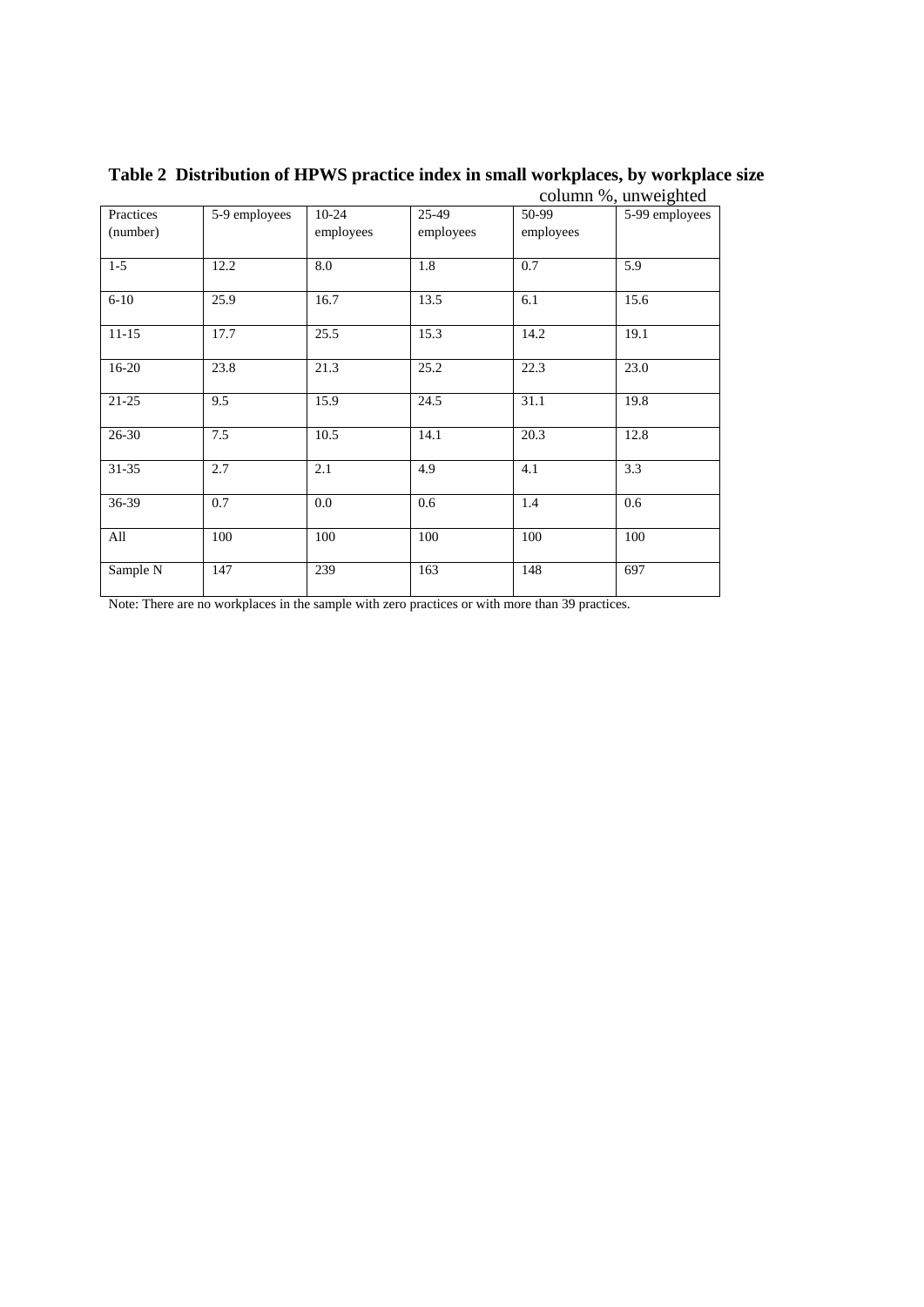| Practices | 5-9 employees | $10-24$   | 25-49     | 50-99     | CORRELLED 70, UNIVERSITED<br>5-99 employees |
|-----------|---------------|-----------|-----------|-----------|---------------------------------------------|
|           |               |           |           |           |                                             |
| (number)  |               | employees | employees | employees |                                             |
|           |               |           |           |           |                                             |
| $1-5$     | 12.2          | 8.0       | 1.8       | 0.7       | 5.9                                         |
|           |               |           |           |           |                                             |
| $6 - 10$  | 25.9          | 16.7      | 13.5      | 6.1       | 15.6                                        |
|           |               |           |           |           |                                             |
| $11 - 15$ | 17.7          | 25.5      | 15.3      | 14.2      | 19.1                                        |
|           |               |           |           |           |                                             |
| $16-20$   | 23.8          | 21.3      | 25.2      | 22.3      | 23.0                                        |
|           |               |           |           |           |                                             |
| $21 - 25$ | 9.5           | 15.9      | 24.5      | 31.1      | 19.8                                        |
|           |               |           |           |           |                                             |
|           |               |           |           |           |                                             |
| $26 - 30$ | 7.5           | 10.5      | 14.1      | 20.3      | 12.8                                        |
|           |               |           |           |           |                                             |
| $31 - 35$ | 2.7           | 2.1       | 4.9       | 4.1       | 3.3                                         |
|           |               |           |           |           |                                             |
| 36-39     | 0.7           | 0.0       | 0.6       | 1.4       | 0.6                                         |
|           |               |           |           |           |                                             |
| All       | 100           | 100       | 100       | 100       | 100                                         |
|           |               |           |           |           |                                             |
| Sample N  | 147           | 239       | 163       | 148       | 697                                         |
|           |               |           |           |           |                                             |
|           |               |           |           |           |                                             |

**Table 2 Distribution of HPWS practice index in small workplaces, by workplace size** column %, unweighted

Note: There are no workplaces in the sample with zero practices or with more than 39 practices.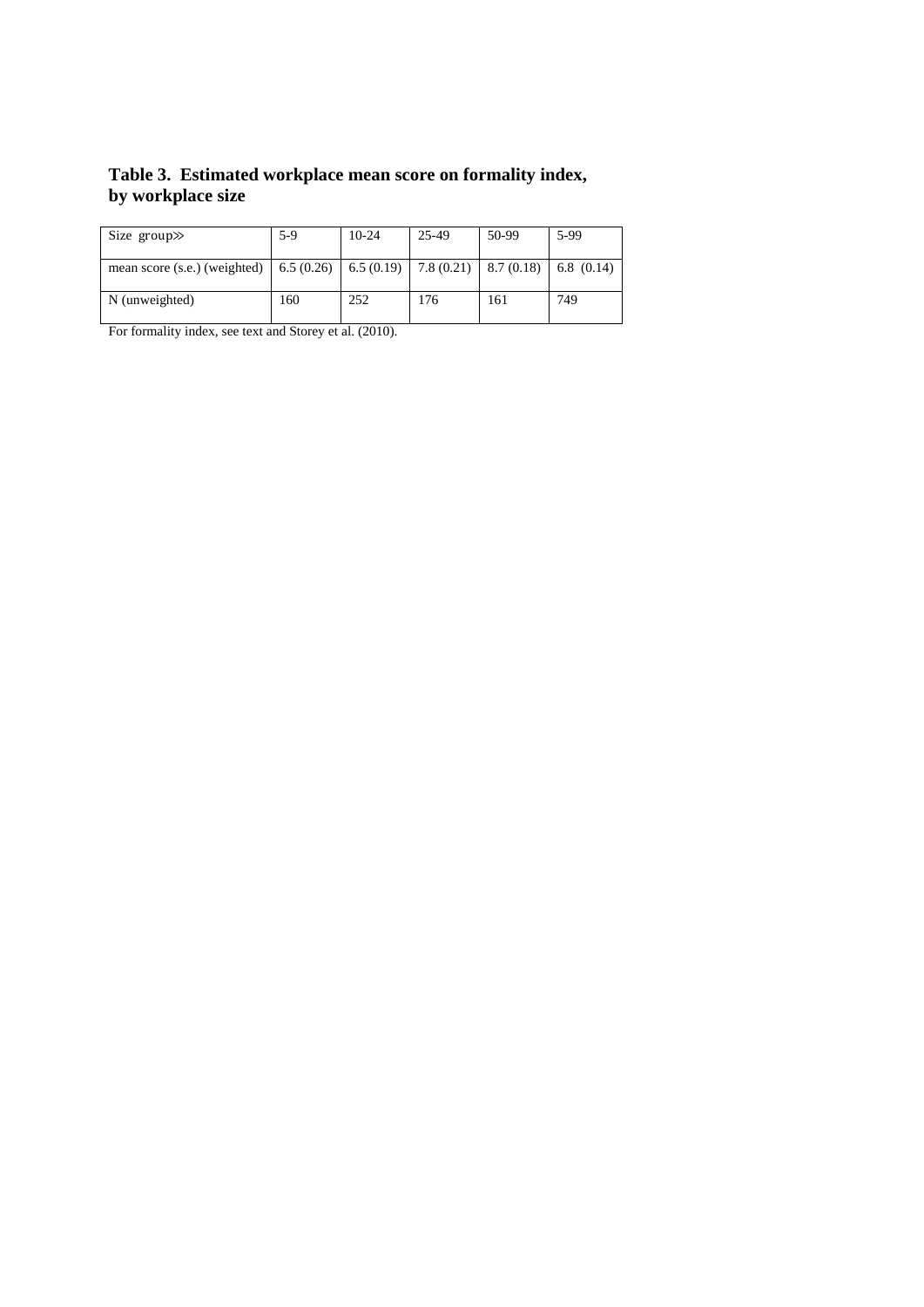**Table 3. Estimated workplace mean score on formality index, by workplace size** 

| Size group $\gg$             | $5-9$ | $10-24$ | 25-49                                                   | 50-99 | 5-99 |
|------------------------------|-------|---------|---------------------------------------------------------|-------|------|
| mean score (s.e.) (weighted) |       |         | $6.5(0.26)$ 6.5 (0.19) 7.8 (0.21) 8.7 (0.18) 6.8 (0.14) |       |      |
| N (unweighted)               | 160   | 252     | 176                                                     | 161   | 749  |

For formality index, see text and Storey et al. (2010).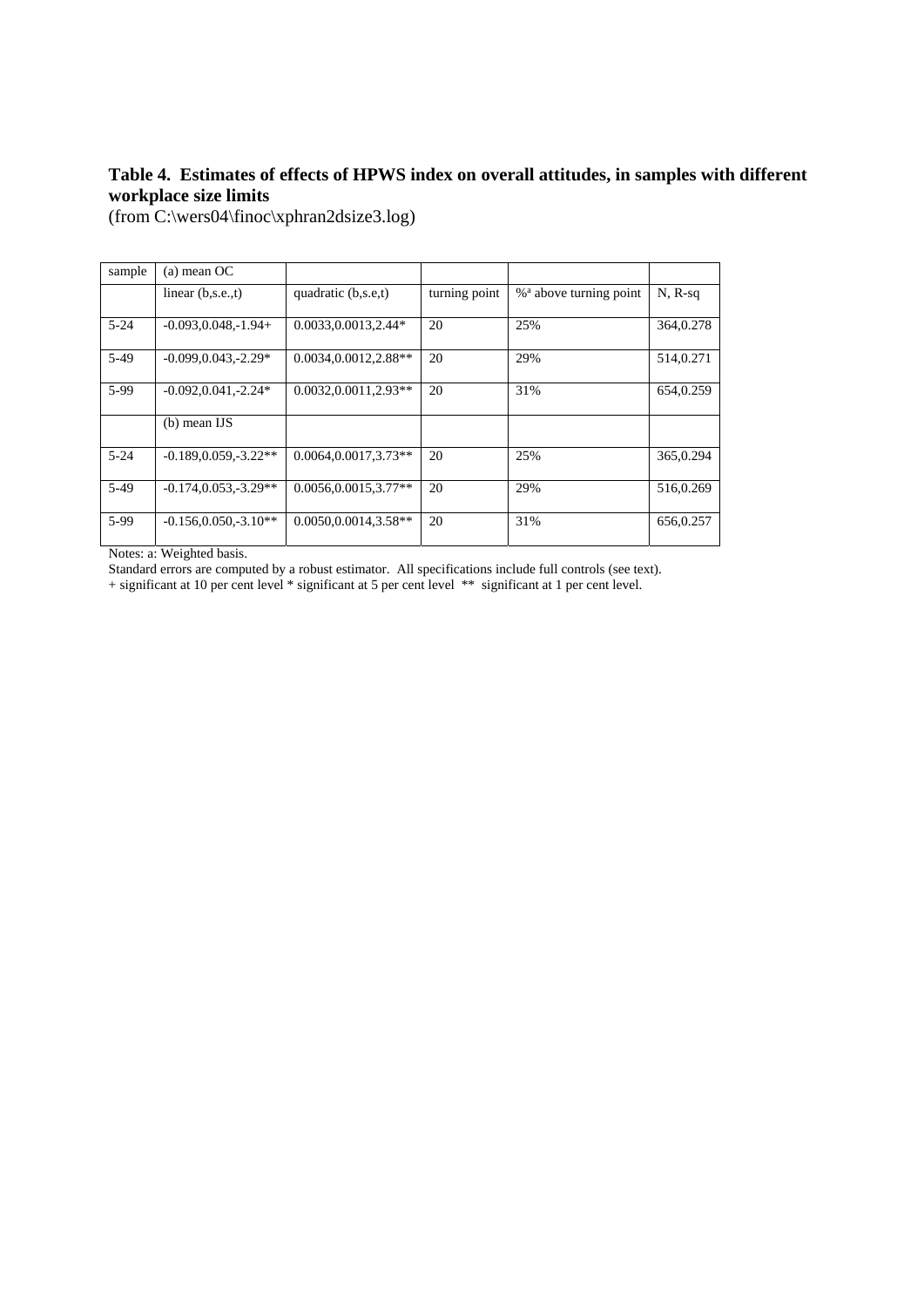### **Table 4. Estimates of effects of HPWS index on overall attitudes, in samples with different workplace size limits**

(from C:\wers04\finoc\xphran2dsize3.log)

| sample   | (a) mean OC              |                          |               |                                      |           |
|----------|--------------------------|--------------------------|---------------|--------------------------------------|-----------|
|          | linear $(b, s.e., t)$    | quadratic (b,s.e,t)      | turning point | $%$ <sup>a</sup> above turning point | $N, R-sq$ |
| $5 - 24$ | $-0.093.0.048 - 1.94 +$  | $0.0033, 0.0013, 2.44*$  | 20            | 25%                                  | 364,0.278 |
| 5-49     | $-0.099, 0.043, -2.29*$  | $0.0034, 0.0012, 2.88**$ | 20            | 29%                                  | 514,0.271 |
| 5-99     | $-0.092, 0.041, -2.24*$  | $0.0032.0.0011.2.93**$   | 20            | 31%                                  | 654,0.259 |
|          | $(b)$ mean IJS           |                          |               |                                      |           |
| $5 - 24$ | $-0.189.0.059 - 3.22$ ** | $0.0064.0.0017.3.73**$   | 20            | 25%                                  | 365,0.294 |
| $5-49$   | $-0.174, 0.053, -3.29**$ | $0.00560000153.77**$     | 20            | 29%                                  | 516,0.269 |
| 5-99     | $-0.156, 0.050, -3.10**$ | $0.0050.00014.3.58**$    | 20            | 31%                                  | 656,0.257 |
|          |                          |                          |               |                                      |           |

Notes: a: Weighted basis.

Standard errors are computed by a robust estimator. All specifications include full controls (see text).

+ significant at 10 per cent level \* significant at 5 per cent level \*\* significant at 1 per cent level.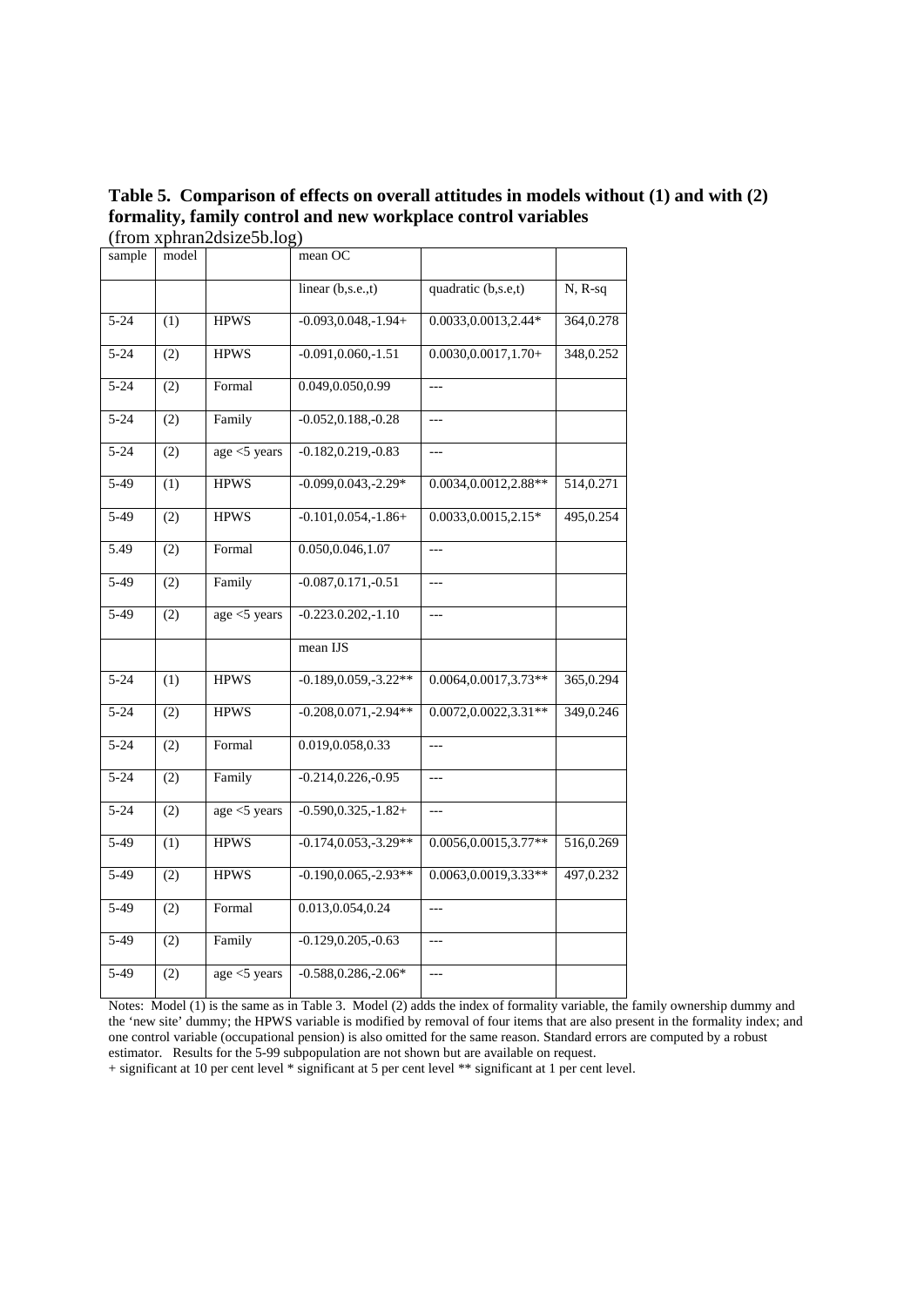**Table 5. Comparison of effects on overall attitudes in models without (1) and with (2) formality, family control and new workplace control variables**  $(from xphran2$ dsize5b.log)

| sample           | model            | $(110111 \text{ A}^2)$ $(110111 \text{ A}^2)$ | mean OC                  |                          |           |
|------------------|------------------|-----------------------------------------------|--------------------------|--------------------------|-----------|
|                  |                  |                                               | linear $(b, s.e., t)$    | quadratic (b,s.e,t)      | $N, R-sq$ |
| $5 - 24$         | (1)              | <b>HPWS</b>                                   | $-0.093, 0.048, -1.94 +$ | 0.0033,0.0013,2.44*      | 364,0.278 |
| $5 - 24$         | (2)              | <b>HPWS</b>                                   | $-0.091, 0.060, -1.51$   | $0.0030, 0.0017, 1.70 +$ | 348,0.252 |
| $5 - 24$         | (2)              | Formal                                        | 0.049,0.050,0.99         | $\overline{a}$           |           |
| $5 - 24$         | $\overline{(2)}$ | Family                                        | $-0.052, 0.188, -0.28$   | <u>.</u>                 |           |
| $5 - 24$         | $\overline{(2)}$ | age $<$ 5 years                               | $-0.182, 0.219, -0.83$   |                          |           |
|                  |                  |                                               |                          |                          |           |
| $5-49$           | $\overline{(1)}$ | <b>HPWS</b>                                   | $-0.099, 0.043, -2.29*$  | 0.0034,0.0012,2.88**     | 514,0.271 |
| $5-49$           | (2)              | <b>HPWS</b>                                   | $-0.101, 0.054, -1.86+$  | $0.0033, 0.0015, 2.15*$  | 495,0.254 |
| $\frac{1}{5.49}$ | (2)              | Formal                                        | 0.050, 0.046, 1.07       | $\sim$ $\sim$ $\sim$     |           |
| $5-49$           | (2)              | Family                                        | $-0.087, 0.171, -0.51$   | $\frac{1}{2}$            |           |
| 5-49             | (2)              | age < 5 years                                 | $-0.223.0.202,-1.10$     |                          |           |
|                  |                  |                                               | mean IJS                 |                          |           |
| $5 - 24$         | $\overline{(1)}$ | <b>HPWS</b>                                   | $-0.189, 0.059, -3.22**$ | $0.0064, 0.0017, 3.73**$ | 365,0.294 |
| $5 - 24$         |                  | <b>HPWS</b>                                   | $-0.208, 0.071, -2.94**$ | $0.0072, 0.0022, 3.31**$ | 349,0.246 |
|                  | $\overline{(2)}$ |                                               |                          |                          |           |
| $5 - 24$         | (2)              | Formal                                        | 0.019,0.058,0.33         | LLL.                     |           |
| $5 - 24$         | (2)              | Family                                        | $-0.214, 0.226, -0.95$   | $- - -$                  |           |
| $5 - 24$         | $\overline{(2)}$ | age < 5 years                                 | $-0.590, 0.325, -1.82+$  | $\overline{a}$           |           |
| $5-49$           | (1)              | <b>HPWS</b>                                   | $-0.174, 0.053, -3.29**$ | $0.0056, 0.0015, 3.77**$ | 516,0.269 |
| $5-49$           | (2)              | <b>HPWS</b>                                   | $-0.190, 0.065, -2.93**$ | $0.0063, 0.0019, 3.33**$ | 497,0.232 |
| $5-49$           | $\overline{(2)}$ | Formal                                        | 0.013,0.054,0.24         | $---$                    |           |
| $5-49$           | $\overline{(2)}$ | Family                                        | $-0.129, 0.205, -0.63$   | $ -$                     |           |
| $5-49$           | $\overline{(2)}$ | age < 5 years                                 | $-0.588, 0.286, -2.06*$  | $\overline{a}$           |           |

Notes: Model (1) is the same as in Table 3. Model (2) adds the index of formality variable, the family ownership dummy and the 'new site' dummy; the HPWS variable is modified by removal of four items that are also present in the formality index; and one control variable (occupational pension) is also omitted for the same reason. Standard errors are computed by a robust estimator. Results for the 5-99 subpopulation are not shown but are available on request.

+ significant at 10 per cent level \* significant at 5 per cent level \*\* significant at 1 per cent level.